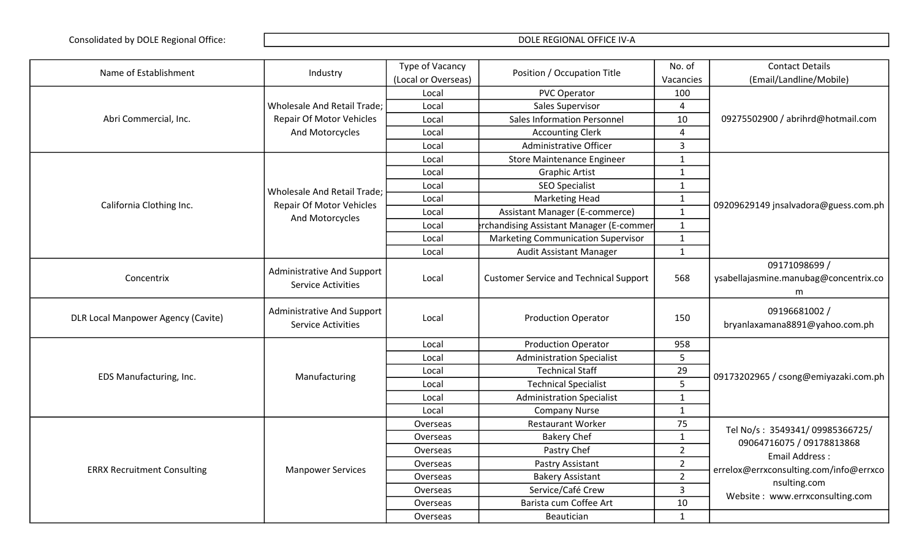| Name of Establishment                     | Industry                                                       | Type of Vacancy     | Position / Occupation Title                   | No. of         | <b>Contact Details</b>                                      |
|-------------------------------------------|----------------------------------------------------------------|---------------------|-----------------------------------------------|----------------|-------------------------------------------------------------|
|                                           |                                                                | (Local or Overseas) |                                               | Vacancies      | (Email/Landline/Mobile)                                     |
|                                           |                                                                | Local               | <b>PVC Operator</b>                           | 100            |                                                             |
|                                           | Wholesale And Retail Trade;                                    | Local               | Sales Supervisor                              | 4              |                                                             |
| Abri Commercial, Inc.                     | <b>Repair Of Motor Vehicles</b>                                | Local               | <b>Sales Information Personnel</b>            | 10             | 09275502900 / abrihrd@hotmail.com                           |
|                                           | And Motorcycles                                                | Local               | <b>Accounting Clerk</b>                       | 4              |                                                             |
|                                           |                                                                | Local               | Administrative Officer                        | $\overline{3}$ |                                                             |
|                                           |                                                                | Local               | <b>Store Maintenance Engineer</b>             | $\mathbf{1}$   |                                                             |
|                                           |                                                                | Local               | <b>Graphic Artist</b>                         | $\mathbf{1}$   |                                                             |
|                                           | Wholesale And Retail Trade;                                    | Local               | <b>SEO Specialist</b>                         | $\mathbf{1}$   |                                                             |
| California Clothing Inc.                  | <b>Repair Of Motor Vehicles</b>                                | Local               | <b>Marketing Head</b>                         | $\mathbf{1}$   |                                                             |
|                                           | And Motorcycles                                                | Local               | Assistant Manager (E-commerce)                | $\mathbf{1}$   | 09209629149 jnsalvadora@guess.com.ph                        |
|                                           |                                                                | Local               | rchandising Assistant Manager (E-commer       | $\mathbf{1}$   |                                                             |
|                                           |                                                                | Local               | <b>Marketing Communication Supervisor</b>     | $\mathbf{1}$   |                                                             |
|                                           |                                                                | Local               | Audit Assistant Manager                       | $\mathbf{1}$   |                                                             |
| Concentrix                                | <b>Administrative And Support</b><br><b>Service Activities</b> | Local               | <b>Customer Service and Technical Support</b> | 568            | 09171098699 /<br>ysabellajasmine.manubag@concentrix.co<br>m |
| <b>DLR Local Manpower Agency (Cavite)</b> | <b>Administrative And Support</b><br><b>Service Activities</b> | Local               | <b>Production Operator</b>                    | 150            | 09196681002 /<br>bryanlaxamana8891@yahoo.com.ph             |
|                                           |                                                                | Local               | <b>Production Operator</b>                    | 958            |                                                             |
|                                           |                                                                | Local               | <b>Administration Specialist</b>              | 5              |                                                             |
|                                           |                                                                | Local               | <b>Technical Staff</b>                        | 29             |                                                             |
| EDS Manufacturing, Inc.                   | Manufacturing                                                  | Local               | <b>Technical Specialist</b>                   | 5              | 09173202965 / csong@emiyazaki.com.ph                        |
|                                           |                                                                | Local               | <b>Administration Specialist</b>              | $\mathbf{1}$   |                                                             |
|                                           |                                                                | Local               | <b>Company Nurse</b>                          | $\mathbf{1}$   |                                                             |
|                                           |                                                                | Overseas            | <b>Restaurant Worker</b>                      | 75             | Tel No/s: 3549341/09985366725/                              |
|                                           |                                                                | Overseas            | <b>Bakery Chef</b>                            | $\mathbf{1}$   | 09064716075 / 09178813868                                   |
|                                           |                                                                | Overseas            | Pastry Chef                                   | 2 <sup>1</sup> | <b>Email Address:</b>                                       |
|                                           |                                                                | Overseas            | Pastry Assistant                              | $\overline{2}$ |                                                             |
| <b>ERRX Recruitment Consulting</b>        | <b>Manpower Services</b>                                       | Overseas            | <b>Bakery Assistant</b>                       | $\overline{2}$ | errelox@errxconsulting.com/info@errxco                      |
|                                           |                                                                | Overseas            | Service/Café Crew                             | 3              | nsulting.com                                                |
|                                           |                                                                | Overseas            | Barista cum Coffee Art                        | 10             | Website: www.errxconsulting.com                             |
|                                           |                                                                | Overseas            | Beautician                                    | $\mathbf{1}$   |                                                             |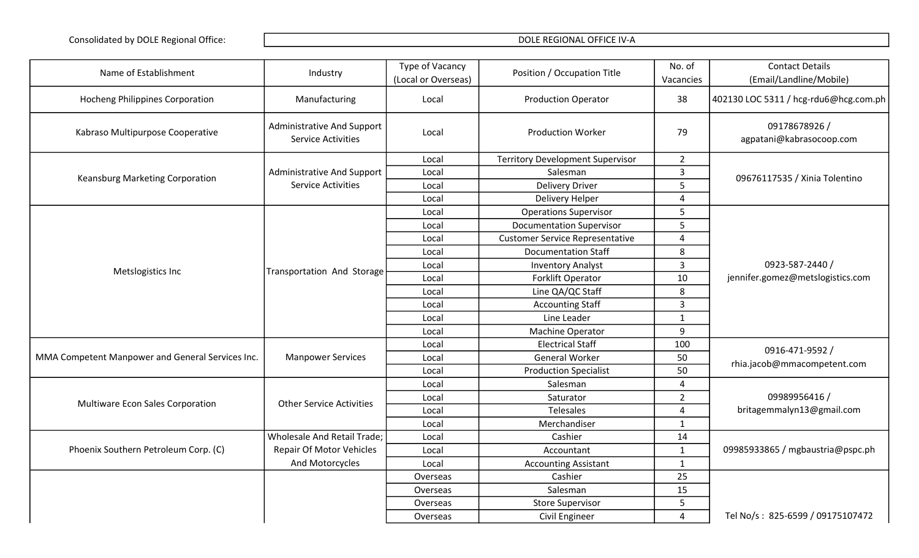| Name of Establishment                            | Industry                                                       | Type of Vacancy<br>(Local or Overseas) | Position / Occupation Title             | No. of<br>Vacancies | <b>Contact Details</b><br>(Email/Landline/Mobile)   |
|--------------------------------------------------|----------------------------------------------------------------|----------------------------------------|-----------------------------------------|---------------------|-----------------------------------------------------|
| <b>Hocheng Philippines Corporation</b>           | Manufacturing                                                  | Local                                  | <b>Production Operator</b>              | 38                  | 402130 LOC 5311 / hcg-rdu6@hcg.com.ph               |
| Kabraso Multipurpose Cooperative                 | <b>Administrative And Support</b><br><b>Service Activities</b> | Local                                  | <b>Production Worker</b>                | 79                  | 09178678926 /<br>agpatani@kabrasocoop.com           |
|                                                  |                                                                | Local                                  | <b>Territory Development Supervisor</b> | $2^{\circ}$         |                                                     |
| Keansburg Marketing Corporation                  | <b>Administrative And Support</b>                              | Local                                  | Salesman                                | 3                   | 09676117535 / Xinia Tolentino                       |
|                                                  | <b>Service Activities</b>                                      | Local                                  | <b>Delivery Driver</b>                  | 5                   |                                                     |
|                                                  |                                                                | Local                                  | Delivery Helper                         | 4                   |                                                     |
|                                                  |                                                                | Local                                  | <b>Operations Supervisor</b>            | 5                   |                                                     |
|                                                  |                                                                | Local                                  | <b>Documentation Supervisor</b>         | 5                   |                                                     |
|                                                  |                                                                | Local                                  | <b>Customer Service Representative</b>  | 4                   |                                                     |
|                                                  |                                                                | Local                                  | <b>Documentation Staff</b>              | 8                   |                                                     |
| Metslogistics Inc                                | Transportation And Storage                                     | Local                                  | <b>Inventory Analyst</b>                | $\mathbf{3}$        | 0923-587-2440 /<br>jennifer.gomez@metslogistics.com |
|                                                  |                                                                | Local                                  | Forklift Operator                       | 10                  |                                                     |
|                                                  |                                                                | Local                                  | Line QA/QC Staff                        | 8                   |                                                     |
|                                                  |                                                                | Local                                  | <b>Accounting Staff</b>                 | $\mathbf{3}$        |                                                     |
|                                                  |                                                                | Local                                  | Line Leader                             | $\mathbf{1}$        |                                                     |
|                                                  |                                                                | Local                                  | Machine Operator                        | 9                   |                                                     |
|                                                  |                                                                | Local                                  | <b>Electrical Staff</b>                 | 100                 | 0916-471-9592 /                                     |
| MMA Competent Manpower and General Services Inc. | <b>Manpower Services</b>                                       | Local                                  | General Worker                          | 50                  | rhia.jacob@mmacompetent.com                         |
|                                                  |                                                                | Local                                  | <b>Production Specialist</b>            | 50                  |                                                     |
|                                                  |                                                                | Local                                  | Salesman                                | 4                   |                                                     |
| Multiware Econ Sales Corporation                 | <b>Other Service Activities</b>                                | Local                                  | Saturator                               | $\overline{2}$      | 09989956416 /                                       |
|                                                  |                                                                | Local                                  | <b>Telesales</b>                        | 4                   | britagemmalyn13@gmail.com                           |
|                                                  |                                                                | Local                                  | Merchandiser                            | $\mathbf{1}$        |                                                     |
|                                                  | <b>Wholesale And Retail Trade;</b>                             | Local                                  | Cashier                                 | 14                  |                                                     |
| Phoenix Southern Petroleum Corp. (C)             | <b>Repair Of Motor Vehicles</b>                                | Local                                  | Accountant                              | $\mathbf{1}$        | 09985933865 / mgbaustria@pspc.ph                    |
|                                                  | And Motorcycles                                                | Local                                  | <b>Accounting Assistant</b>             | $\mathbf{1}$        |                                                     |
|                                                  |                                                                | Overseas                               | Cashier                                 | 25                  |                                                     |
|                                                  |                                                                | Overseas                               | Salesman                                | 15                  |                                                     |
|                                                  |                                                                | Overseas                               | <b>Store Supervisor</b>                 | 5                   |                                                     |
|                                                  |                                                                | Overseas                               | Civil Engineer                          | $\overline{4}$      | Tel No/s: 825-6599 / 09175107472                    |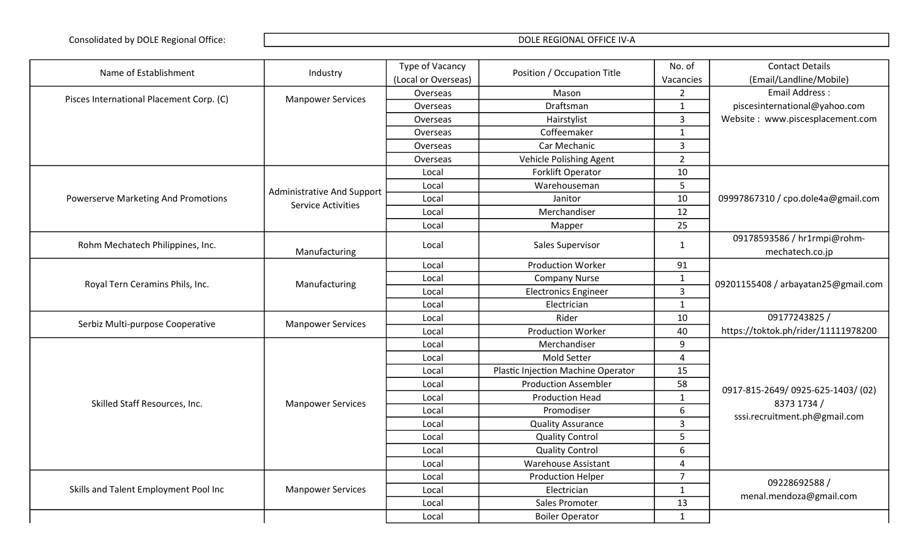| Name of Establishment                      | Industry                                                | Type of Vacancy     | Position / Occupation Title        | No. of         | <b>Contact Details</b>                          |
|--------------------------------------------|---------------------------------------------------------|---------------------|------------------------------------|----------------|-------------------------------------------------|
|                                            |                                                         | (Local or Overseas) |                                    | Vacancies      | (Email/Landline/Mobile)                         |
| Pisces International Placement Corp. (C)   | <b>Manpower Services</b>                                | Overseas            | Mason                              | $\overline{2}$ | Email Address:                                  |
|                                            |                                                         | Overseas            | Draftsman                          | $\mathbf{1}$   | piscesinternational@yahoo.com                   |
|                                            |                                                         | Overseas            | Hairstylist                        | $\overline{3}$ | Website: www.piscesplacement.com                |
|                                            |                                                         | Overseas            | Coffeemaker                        | $\mathbf{1}$   |                                                 |
|                                            |                                                         | Overseas            | Car Mechanic                       | $\overline{3}$ |                                                 |
|                                            |                                                         | Overseas            | Vehicle Polishing Agent            | $\overline{2}$ |                                                 |
|                                            |                                                         | Local               | Forklift Operator                  | $10\,$         |                                                 |
|                                            |                                                         | Local               | Warehouseman                       | 5              |                                                 |
| <b>Powerserve Marketing And Promotions</b> | Administrative And Support<br><b>Service Activities</b> | Local               | Janitor                            | 10             | 09997867310 / cpo.dole4a@gmail.com              |
|                                            |                                                         | Local               | Merchandiser                       | 12             |                                                 |
|                                            |                                                         | Local               | Mapper                             | 25             |                                                 |
|                                            |                                                         |                     |                                    |                | 09178593586 / hr1rmpi@rohm-                     |
| Rohm Mechatech Philippines, Inc.           | Manufacturing                                           | Local               | Sales Supervisor                   | $\mathbf{1}$   | mechatech.co.jp                                 |
|                                            |                                                         | Local               | <b>Production Worker</b>           | 91             |                                                 |
|                                            | Manufacturing                                           | Local               | <b>Company Nurse</b>               | $\mathbf{1}$   | 09201155408 / arbayatan25@gmail.com             |
| Royal Tern Ceramins Phils, Inc.            |                                                         | Local               | <b>Electronics Engineer</b>        | $\overline{3}$ |                                                 |
|                                            |                                                         | Local               | Electrician                        | $\mathbf{1}$   |                                                 |
| Serbiz Multi-purpose Cooperative           | <b>Manpower Services</b>                                | Local               | Rider                              | 10             | 09177243825 /                                   |
|                                            |                                                         | Local               | <b>Production Worker</b>           | 40             | https://toktok.ph/rider/11111978200             |
|                                            |                                                         | Local               | Merchandiser                       | 9              |                                                 |
|                                            |                                                         | Local               | Mold Setter                        | $\overline{4}$ |                                                 |
|                                            |                                                         | Local               | Plastic Injection Machine Operator | 15             |                                                 |
|                                            |                                                         | Local               | <b>Production Assembler</b>        | 58             |                                                 |
| Skilled Staff Resources, Inc.              |                                                         | Local               | <b>Production Head</b>             | $\mathbf{1}$   | 0917-815-2649/0925-625-1403/(02)<br>8373 1734 / |
|                                            | <b>Manpower Services</b>                                | Local               | Promodiser                         | 6              |                                                 |
|                                            |                                                         | Local               | <b>Quality Assurance</b>           | $\overline{3}$ | sssi.recruitment.ph@gmail.com                   |
|                                            |                                                         | Local               | <b>Quality Control</b>             | 5              |                                                 |
|                                            |                                                         | Local               | <b>Quality Control</b>             | 6              |                                                 |
|                                            |                                                         | Local               | <b>Warehouse Assistant</b>         | $\overline{4}$ |                                                 |
|                                            |                                                         | Local               | <b>Production Helper</b>           | $\overline{7}$ |                                                 |
| Skills and Talent Employment Pool Inc      | <b>Manpower Services</b>                                | Local               | Electrician                        | $\mathbf{1}$   | 09228692588 /                                   |
|                                            |                                                         | Local               | Sales Promoter                     | 13             | menal.mendoza@gmail.com                         |
|                                            |                                                         | Local               | <b>Boiler Operator</b>             | $\mathbf{1}$   |                                                 |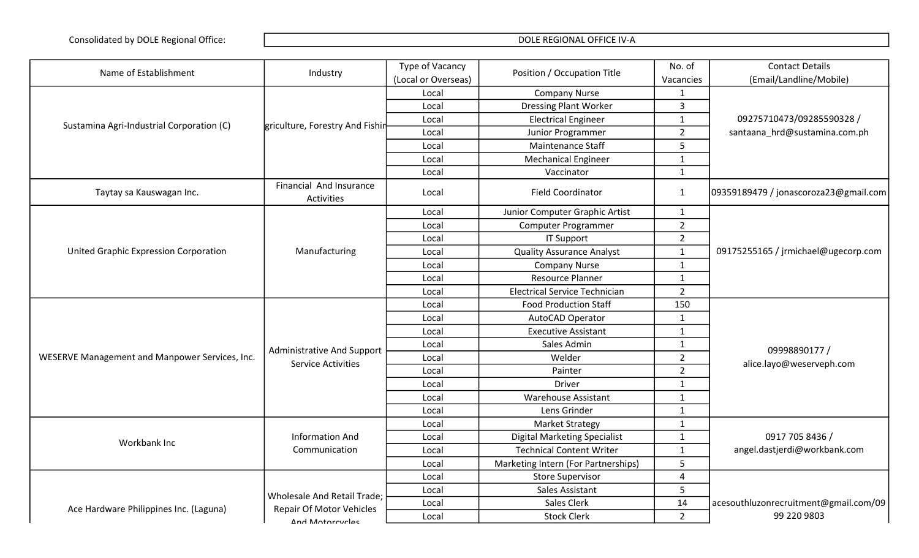| Name of Establishment                          | Industry                                     | Type of Vacancy     | Position / Occupation Title          | No. of         | <b>Contact Details</b>                |
|------------------------------------------------|----------------------------------------------|---------------------|--------------------------------------|----------------|---------------------------------------|
|                                                |                                              | (Local or Overseas) |                                      | Vacancies      | (Email/Landline/Mobile)               |
|                                                |                                              | Local               | <b>Company Nurse</b>                 | $\mathbf{1}$   |                                       |
|                                                |                                              | Local               | <b>Dressing Plant Worker</b>         | 3              |                                       |
| Sustamina Agri-Industrial Corporation (C)      | griculture, Forestry And Fishin              | Local               | <b>Electrical Engineer</b>           | $\mathbf{1}$   | 09275710473/09285590328 /             |
|                                                |                                              | Local               | Junior Programmer                    | $\overline{2}$ | santaana_hrd@sustamina.com.ph         |
|                                                |                                              | Local               | Maintenance Staff                    | 5              |                                       |
|                                                |                                              | Local               | <b>Mechanical Engineer</b>           | $\mathbf{1}$   |                                       |
|                                                |                                              | Local               | Vaccinator                           | $\mathbf{1}$   |                                       |
| Taytay sa Kauswagan Inc.                       | Financial And Insurance<br><b>Activities</b> | Local               | <b>Field Coordinator</b>             | 1              | 09359189479 / jonascoroza23@gmail.com |
|                                                |                                              | Local               | Junior Computer Graphic Artist       | 1              |                                       |
|                                                |                                              | Local               | <b>Computer Programmer</b>           | $\overline{2}$ |                                       |
|                                                |                                              | Local               | <b>IT Support</b>                    | $\overline{2}$ |                                       |
| <b>United Graphic Expression Corporation</b>   | Manufacturing                                | Local               | <b>Quality Assurance Analyst</b>     | $\mathbf{1}$   | 09175255165 / jrmichael@ugecorp.com   |
|                                                |                                              | Local               | <b>Company Nurse</b>                 | $\mathbf{1}$   |                                       |
|                                                |                                              | Local               | <b>Resource Planner</b>              | $\mathbf{1}$   |                                       |
|                                                |                                              | Local               | <b>Electrical Service Technician</b> | $\overline{2}$ |                                       |
|                                                |                                              | Local               | <b>Food Production Staff</b>         | 150            |                                       |
|                                                |                                              | Local               | AutoCAD Operator                     | $\mathbf{1}$   |                                       |
|                                                |                                              | Local               | <b>Executive Assistant</b>           | $\mathbf{1}$   |                                       |
|                                                | <b>Administrative And Support</b>            | Local               | Sales Admin                          | $\mathbf{1}$   | 09998890177 /                         |
| WESERVE Management and Manpower Services, Inc. | <b>Service Activities</b>                    | Local               | Welder                               | $\overline{2}$ | alice.layo@weserveph.com              |
|                                                |                                              | Local               | Painter                              | $\overline{2}$ |                                       |
|                                                |                                              | Local               | <b>Driver</b>                        | $\mathbf{1}$   |                                       |
|                                                |                                              | Local               | <b>Warehouse Assistant</b>           | $\mathbf{1}$   |                                       |
|                                                |                                              | Local               | Lens Grinder                         | $\mathbf{1}$   |                                       |
|                                                |                                              | Local               | <b>Market Strategy</b>               | $\mathbf{1}$   |                                       |
| Workbank Inc                                   | <b>Information And</b>                       | Local               | <b>Digital Marketing Specialist</b>  | $\mathbf{1}$   | 0917 705 8436 /                       |
|                                                | Communication                                | Local               | <b>Technical Content Writer</b>      | $\mathbf{1}$   | angel.dastjerdi@workbank.com          |
|                                                |                                              | Local               | Marketing Intern (For Partnerships)  | 5              |                                       |
|                                                |                                              | Local               | <b>Store Supervisor</b>              | 4              |                                       |
|                                                | Wholesale And Retail Trade;                  | Local               | Sales Assistant                      | 5              |                                       |
| Ace Hardware Philippines Inc. (Laguna)         | <b>Repair Of Motor Vehicles</b>              | Local               | Sales Clerk                          | 14             | acesouthluzonrecruitment@gmail.com/09 |
|                                                | And Motorcyclas                              | Local               | <b>Stock Clerk</b>                   | $\overline{2}$ | 99 220 9803                           |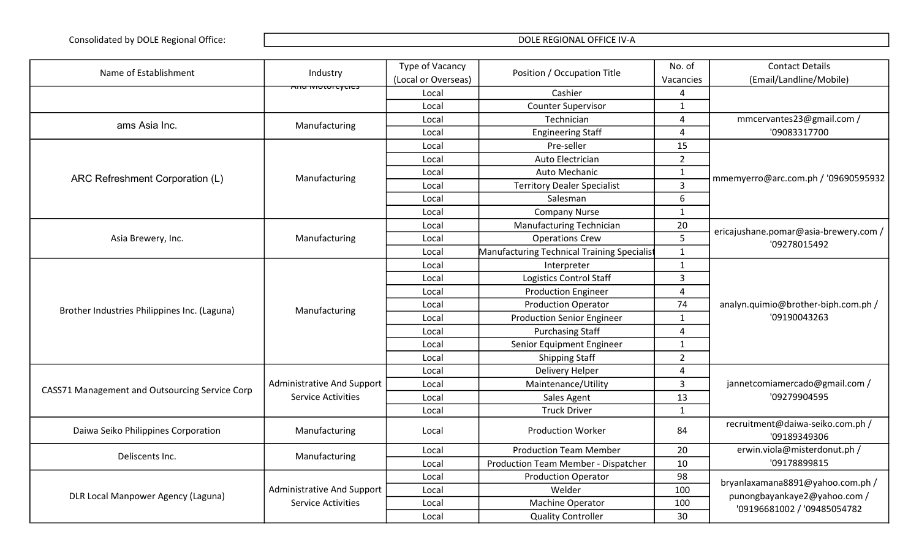| Name of Establishment                          | Industry                          | Type of Vacancy     | Position / Occupation Title                 | No. of         | <b>Contact Details</b>                              |
|------------------------------------------------|-----------------------------------|---------------------|---------------------------------------------|----------------|-----------------------------------------------------|
|                                                |                                   | (Local or Overseas) |                                             | Vacancies      | (Email/Landline/Mobile)                             |
|                                                | <del>Anu motorcycles</del>        | Local               | Cashier                                     | 4              |                                                     |
|                                                |                                   | Local               | <b>Counter Supervisor</b>                   | $\mathbf{1}$   |                                                     |
| ams Asia Inc.                                  | Manufacturing                     | Local               | Technician                                  | 4              | mmcervantes23@gmail.com /                           |
|                                                |                                   | Local               | <b>Engineering Staff</b>                    | 4              | '09083317700                                        |
|                                                |                                   | Local               | Pre-seller                                  | 15             |                                                     |
|                                                |                                   | Local               | Auto Electrician                            | $2^{\circ}$    |                                                     |
| ARC Refreshment Corporation (L)                | Manufacturing                     | Local               | Auto Mechanic                               | $\mathbf{1}$   | mmemyerro@arc.com.ph / '09690595932                 |
|                                                |                                   | Local               | <b>Territory Dealer Specialist</b>          | $\overline{3}$ |                                                     |
|                                                |                                   | Local               | Salesman                                    | 6              |                                                     |
|                                                |                                   | Local               | <b>Company Nurse</b>                        | $\mathbf{1}$   |                                                     |
|                                                |                                   | Local               | <b>Manufacturing Technician</b>             | 20             | ericajushane.pomar@asia-brewery.com /               |
| Asia Brewery, Inc.                             | Manufacturing                     | Local               | <b>Operations Crew</b>                      | 5              | '09278015492                                        |
|                                                |                                   | Local               | Manufacturing Technical Training Specialist | $\mathbf{1}$   |                                                     |
|                                                |                                   | Local               | Interpreter                                 | $\mathbf{1}$   |                                                     |
|                                                |                                   | Local               | <b>Logistics Control Staff</b>              | $\overline{3}$ |                                                     |
|                                                | Manufacturing                     | Local               | <b>Production Engineer</b>                  | $\overline{4}$ | analyn.quimio@brother-biph.com.ph /<br>'09190043263 |
|                                                |                                   | Local               | <b>Production Operator</b>                  | 74             |                                                     |
| Brother Industries Philippines Inc. (Laguna)   |                                   | Local               | <b>Production Senior Engineer</b>           | $\mathbf{1}$   |                                                     |
|                                                |                                   | Local               | <b>Purchasing Staff</b>                     | 4              |                                                     |
|                                                |                                   | Local               | Senior Equipment Engineer                   | $\mathbf{1}$   |                                                     |
|                                                |                                   | Local               | <b>Shipping Staff</b>                       | $\overline{2}$ |                                                     |
|                                                |                                   | Local               | Delivery Helper                             | $\overline{4}$ |                                                     |
|                                                | <b>Administrative And Support</b> | Local               | Maintenance/Utility                         | $\overline{3}$ | jannetcomiamercado@gmail.com /                      |
| CASS71 Management and Outsourcing Service Corp | <b>Service Activities</b>         | Local               | Sales Agent                                 | 13             | '09279904595                                        |
|                                                |                                   | Local               | <b>Truck Driver</b>                         | $\mathbf{1}$   |                                                     |
| Daiwa Seiko Philippines Corporation            | Manufacturing                     | Local               | Production Worker                           | 84             | recruitment@daiwa-seiko.com.ph /<br>'09189349306    |
| Deliscents Inc.                                |                                   | Local               | <b>Production Team Member</b>               | 20             | erwin.viola@misterdonut.ph /                        |
|                                                | Manufacturing                     | Local               | Production Team Member - Dispatcher         | 10             | '09178899815                                        |
|                                                |                                   | Local               | <b>Production Operator</b>                  | 98             | bryanlaxamana8891@yahoo.com.ph /                    |
|                                                | <b>Administrative And Support</b> | Local               | Welder                                      | 100            |                                                     |
| DLR Local Manpower Agency (Laguna)             | <b>Service Activities</b>         | Local               | Machine Operator                            | 100            | punongbayankaye2@yahoo.com /                        |
|                                                |                                   | Local               | <b>Quality Controller</b>                   | 30             | '09196681002 / '09485054782                         |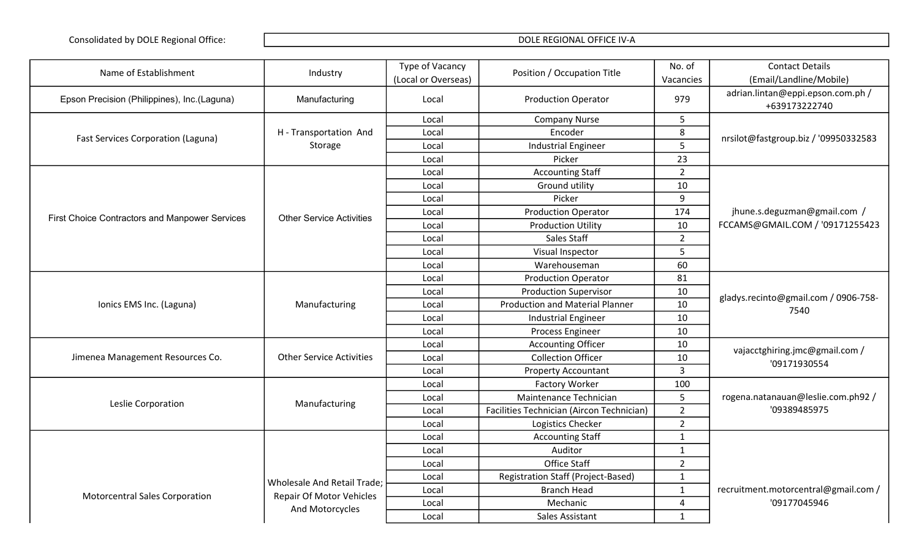| Name of Establishment                          | Industry                        | Type of Vacancy     | Position / Occupation Title               | No. of           | <b>Contact Details</b>                             |
|------------------------------------------------|---------------------------------|---------------------|-------------------------------------------|------------------|----------------------------------------------------|
|                                                |                                 | (Local or Overseas) |                                           | Vacancies        | (Email/Landline/Mobile)                            |
| Epson Precision (Philippines), Inc.(Laguna)    | Manufacturing                   | Local               | <b>Production Operator</b>                | 979              | adrian.lintan@eppi.epson.com.ph /<br>+639173222740 |
|                                                |                                 | Local               | <b>Company Nurse</b>                      | 5                |                                                    |
|                                                | H - Transportation And          | Local               | Encoder                                   | 8                |                                                    |
| <b>Fast Services Corporation (Laguna)</b>      | Storage                         | Local               | <b>Industrial Engineer</b>                | 5                | nrsilot@fastgroup.biz / '09950332583               |
|                                                |                                 | Local               | Picker                                    | 23               |                                                    |
|                                                |                                 | Local               | <b>Accounting Staff</b>                   | $\overline{2}$   |                                                    |
|                                                |                                 | Local               | Ground utility                            | 10               |                                                    |
|                                                |                                 | Local               | Picker                                    | $\boldsymbol{9}$ |                                                    |
|                                                |                                 | Local               | <b>Production Operator</b>                | 174              | jhune.s.deguzman@gmail.com /                       |
| First Choice Contractors and Manpower Services | <b>Other Service Activities</b> | Local               | <b>Production Utility</b>                 | 10               | FCCAMS@GMAIL.COM / '09171255423                    |
|                                                |                                 |                     | Sales Staff                               |                  |                                                    |
|                                                |                                 | Local               |                                           | $\overline{2}$   |                                                    |
|                                                |                                 | Local               | Visual Inspector                          | 5                |                                                    |
|                                                |                                 | Local               | Warehouseman                              | 60               |                                                    |
|                                                |                                 | Local               | <b>Production Operator</b>                | 81               |                                                    |
|                                                | Manufacturing                   | Local               | <b>Production Supervisor</b>              | 10               | gladys.recinto@gmail.com / 0906-758-<br>7540       |
| Ionics EMS Inc. (Laguna)                       |                                 | Local               | <b>Production and Material Planner</b>    | 10               |                                                    |
|                                                |                                 | Local               | <b>Industrial Engineer</b>                | 10               |                                                    |
|                                                |                                 | Local               | Process Engineer                          | 10               |                                                    |
|                                                |                                 | Local               | <b>Accounting Officer</b>                 | 10               | vajacctghiring.jmc@gmail.com /                     |
| Jimenea Management Resources Co.               | <b>Other Service Activities</b> | Local               | <b>Collection Officer</b>                 | 10               | '09171930554                                       |
|                                                |                                 | Local               | <b>Property Accountant</b>                | 3                |                                                    |
|                                                |                                 | Local               | <b>Factory Worker</b>                     | 100              |                                                    |
| Leslie Corporation                             | Manufacturing                   | Local               | Maintenance Technician                    | 5                | rogena.natanauan@leslie.com.ph92 /                 |
|                                                |                                 | Local               | Facilities Technician (Aircon Technician) | $\overline{2}$   | '09389485975                                       |
|                                                |                                 | Local               | Logistics Checker                         | $\overline{2}$   |                                                    |
|                                                |                                 | Local               | <b>Accounting Staff</b>                   | $\mathbf{1}$     |                                                    |
|                                                |                                 | Local               | Auditor                                   | $\mathbf{1}$     |                                                    |
|                                                |                                 | Local               | Office Staff                              | $\overline{2}$   |                                                    |
|                                                | Wholesale And Retail Trade;     | Local               | <b>Registration Staff (Project-Based)</b> | $\mathbf{1}$     |                                                    |
| <b>Motorcentral Sales Corporation</b>          | <b>Repair Of Motor Vehicles</b> | Local               | <b>Branch Head</b>                        | $\mathbf{1}$     | recruitment.motorcentral@gmail.com /               |
|                                                | And Motorcycles                 | Local               | Mechanic                                  | 4                | '09177045946                                       |
|                                                |                                 | Local               | Sales Assistant                           | $\mathbf{1}$     |                                                    |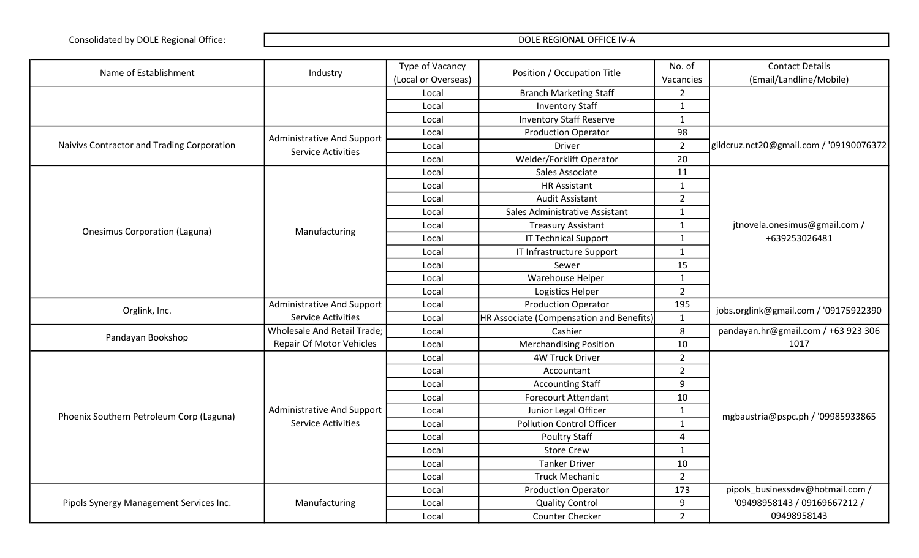| Name of Establishment                      | Industry                          | Type of Vacancy     | Position / Occupation Title              | No. of         | <b>Contact Details</b>                  |
|--------------------------------------------|-----------------------------------|---------------------|------------------------------------------|----------------|-----------------------------------------|
|                                            |                                   | (Local or Overseas) |                                          | Vacancies      | (Email/Landline/Mobile)                 |
|                                            |                                   | Local               | <b>Branch Marketing Staff</b>            | $\overline{2}$ |                                         |
|                                            |                                   | Local               | <b>Inventory Staff</b>                   | $\mathbf{1}$   |                                         |
|                                            |                                   | Local               | <b>Inventory Staff Reserve</b>           | $\mathbf{1}$   |                                         |
|                                            | <b>Administrative And Support</b> | Local               | <b>Production Operator</b>               | 98             |                                         |
| Naivivs Contractor and Trading Corporation | <b>Service Activities</b>         | Local               | Driver                                   | $\overline{2}$ | gildcruz.nct20@gmail.com / '09190076372 |
|                                            |                                   | Local               | Welder/Forklift Operator                 | 20             |                                         |
|                                            |                                   | Local               | Sales Associate                          | 11             |                                         |
|                                            |                                   | Local               | <b>HR Assistant</b>                      | $\mathbf{1}$   |                                         |
|                                            |                                   | Local               | <b>Audit Assistant</b>                   | $\overline{2}$ |                                         |
|                                            |                                   | Local               | Sales Administrative Assistant           | $\mathbf{1}$   |                                         |
| <b>Onesimus Corporation (Laguna)</b>       |                                   | Local               | <b>Treasury Assistant</b>                | $\mathbf{1}$   | jtnovela.onesimus@gmail.com /           |
|                                            | Manufacturing                     | Local               | <b>IT Technical Support</b>              | $\mathbf{1}$   | +639253026481                           |
|                                            |                                   | Local               | IT Infrastructure Support                | $\mathbf{1}$   |                                         |
|                                            |                                   | Local               | Sewer                                    | 15             |                                         |
|                                            |                                   | Local               | Warehouse Helper                         | $\mathbf{1}$   |                                         |
|                                            |                                   | Local               | Logistics Helper                         | $\overline{2}$ |                                         |
| Orglink, Inc.                              | <b>Administrative And Support</b> | Local               | <b>Production Operator</b>               | 195            | jobs.orglink@gmail.com / '09175922390   |
|                                            | <b>Service Activities</b>         | Local               | HR Associate (Compensation and Benefits) | $\mathbf{1}$   |                                         |
| Pandayan Bookshop                          | Wholesale And Retail Trade;       | Local               | Cashier                                  | 8              | pandayan.hr@gmail.com / +63 923 306     |
|                                            | <b>Repair Of Motor Vehicles</b>   | Local               | <b>Merchandising Position</b>            | 10             | 1017                                    |
|                                            |                                   | Local               | <b>4W Truck Driver</b>                   | $\overline{2}$ |                                         |
|                                            |                                   | Local               | Accountant                               | $\overline{2}$ |                                         |
|                                            |                                   | Local               | <b>Accounting Staff</b>                  | 9              |                                         |
|                                            |                                   | Local               | <b>Forecourt Attendant</b>               | 10             |                                         |
| Phoenix Southern Petroleum Corp (Laguna)   | <b>Administrative And Support</b> | Local               | Junior Legal Officer                     | $\mathbf{1}$   |                                         |
|                                            | <b>Service Activities</b>         | Local               | <b>Pollution Control Officer</b>         | $\mathbf{1}$   | mgbaustria@pspc.ph / '09985933865       |
|                                            |                                   | Local               | <b>Poultry Staff</b>                     | 4              |                                         |
|                                            |                                   | Local               | <b>Store Crew</b>                        | $\mathbf{1}$   |                                         |
|                                            |                                   | Local               | <b>Tanker Driver</b>                     | 10             |                                         |
|                                            |                                   | Local               | <b>Truck Mechanic</b>                    | $\overline{2}$ |                                         |
|                                            |                                   | Local               | <b>Production Operator</b>               | 173            | pipols_businessdev@hotmail.com /        |
| Pipols Synergy Management Services Inc.    | Manufacturing                     | Local               | <b>Quality Control</b>                   | 9              | '09498958143 / 09169667212 /            |
|                                            |                                   | Local               | <b>Counter Checker</b>                   | $\overline{2}$ | 09498958143                             |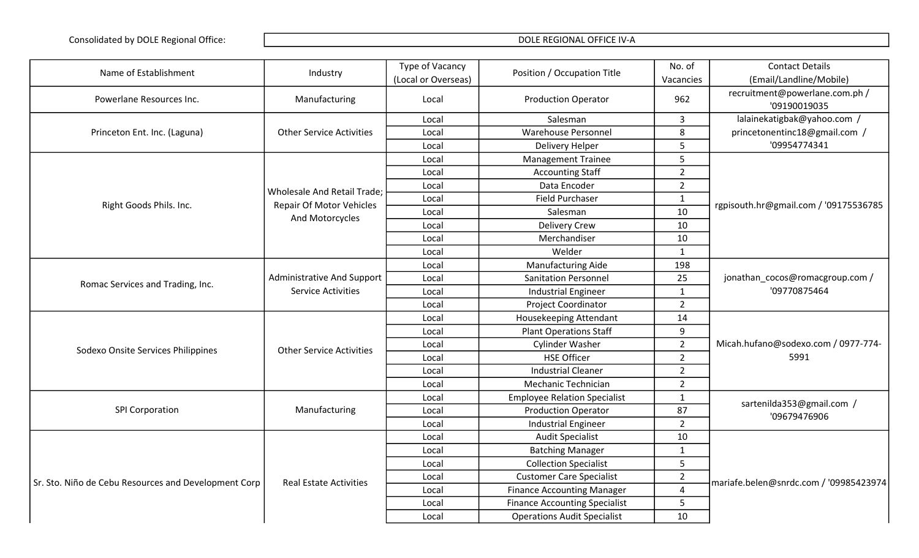| Name of Establishment                                | Industry                                                       | Type of Vacancy     | Position / Occupation Title          | No. of         | <b>Contact Details</b>                          |
|------------------------------------------------------|----------------------------------------------------------------|---------------------|--------------------------------------|----------------|-------------------------------------------------|
|                                                      |                                                                | (Local or Overseas) |                                      | Vacancies      | (Email/Landline/Mobile)                         |
| Powerlane Resources Inc.                             | Manufacturing                                                  | Local               | <b>Production Operator</b>           | 962            | recruitment@powerlane.com.ph /<br>'09190019035  |
|                                                      |                                                                | Local               | Salesman                             | $\overline{3}$ | lalainekatigbak@yahoo.com /                     |
| Princeton Ent. Inc. (Laguna)                         | <b>Other Service Activities</b>                                | Local               | <b>Warehouse Personnel</b>           | 8              | princetonentinc18@gmail.com /                   |
|                                                      |                                                                | Local               | <b>Delivery Helper</b>               | 5              | '09954774341                                    |
|                                                      |                                                                | Local               | <b>Management Trainee</b>            | 5              |                                                 |
|                                                      |                                                                | Local               | <b>Accounting Staff</b>              | $\overline{2}$ |                                                 |
|                                                      |                                                                | Local               | Data Encoder                         | $\overline{2}$ |                                                 |
|                                                      | Wholesale And Retail Trade;                                    | Local               | <b>Field Purchaser</b>               | $\mathbf{1}$   |                                                 |
| Right Goods Phils. Inc.                              | Repair Of Motor Vehicles                                       | Local               | Salesman                             | 10             | rgpisouth.hr@gmail.com / '09175536785           |
|                                                      | And Motorcycles                                                | Local               | <b>Delivery Crew</b>                 | 10             |                                                 |
|                                                      |                                                                | Local               | Merchandiser                         | 10             |                                                 |
|                                                      |                                                                | Local               | Welder                               | $\mathbf{1}$   |                                                 |
|                                                      |                                                                | Local               | Manufacturing Aide                   | 198            |                                                 |
|                                                      | <b>Administrative And Support</b><br><b>Service Activities</b> | Local               | <b>Sanitation Personnel</b>          | 25             | jonathan_cocos@romacgroup.com /<br>'09770875464 |
| Romac Services and Trading, Inc.                     |                                                                | Local               | <b>Industrial Engineer</b>           | $\mathbf{1}$   |                                                 |
|                                                      |                                                                | Local               | Project Coordinator                  | $\overline{2}$ |                                                 |
|                                                      |                                                                | Local               | Housekeeping Attendant               | 14             | Micah.hufano@sodexo.com / 0977-774-<br>5991     |
|                                                      |                                                                | Local               | <b>Plant Operations Staff</b>        | 9              |                                                 |
|                                                      |                                                                | Local               | <b>Cylinder Washer</b>               | $\overline{2}$ |                                                 |
| Sodexo Onsite Services Philippines                   | <b>Other Service Activities</b>                                | Local               | <b>HSE Officer</b>                   | $\overline{2}$ |                                                 |
|                                                      |                                                                | Local               | <b>Industrial Cleaner</b>            | $\overline{2}$ |                                                 |
|                                                      |                                                                | Local               | Mechanic Technician                  | $\overline{2}$ |                                                 |
|                                                      |                                                                | Local               | <b>Employee Relation Specialist</b>  | $\mathbf{1}$   | sartenilda353@gmail.com /                       |
| <b>SPI Corporation</b>                               | Manufacturing                                                  | Local               | <b>Production Operator</b>           | 87             | '09679476906                                    |
|                                                      |                                                                | Local               | <b>Industrial Engineer</b>           | $\overline{2}$ |                                                 |
|                                                      |                                                                | Local               | <b>Audit Specialist</b>              | 10             |                                                 |
|                                                      |                                                                | Local               | <b>Batching Manager</b>              | $\mathbf{1}$   |                                                 |
|                                                      |                                                                | Local               | <b>Collection Specialist</b>         | 5              |                                                 |
| Sr. Sto. Niño de Cebu Resources and Development Corp | <b>Real Estate Activities</b>                                  | Local               | <b>Customer Care Specialist</b>      | $\overline{2}$ |                                                 |
|                                                      |                                                                | Local               | <b>Finance Accounting Manager</b>    | $\overline{4}$ | mariafe.belen@snrdc.com / '09985423974          |
|                                                      |                                                                | Local               | <b>Finance Accounting Specialist</b> | 5              |                                                 |
|                                                      |                                                                | Local               | <b>Operations Audit Specialist</b>   | 10             |                                                 |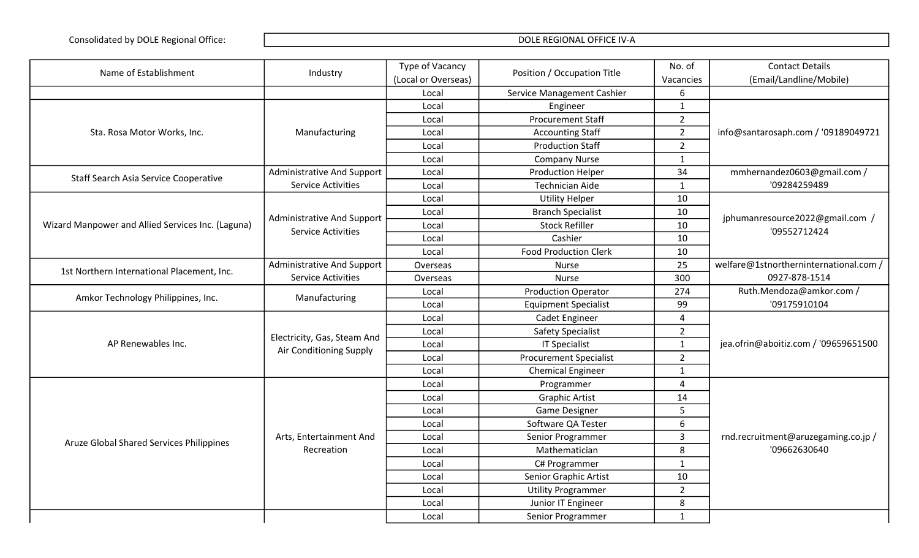| Name of Establishment                             | Industry                          | Type of Vacancy     | Position / Occupation Title   | No. of         | <b>Contact Details</b>                 |
|---------------------------------------------------|-----------------------------------|---------------------|-------------------------------|----------------|----------------------------------------|
|                                                   |                                   | (Local or Overseas) |                               | Vacancies      | (Email/Landline/Mobile)                |
|                                                   |                                   | Local               | Service Management Cashier    | 6              |                                        |
|                                                   |                                   | Local               | Engineer                      | $\mathbf{1}$   |                                        |
|                                                   |                                   | Local               | <b>Procurement Staff</b>      | $2^{\circ}$    |                                        |
| Sta. Rosa Motor Works, Inc.                       | Manufacturing                     | Local               | <b>Accounting Staff</b>       | $2^{\circ}$    | info@santarosaph.com / '09189049721    |
|                                                   |                                   | Local               | <b>Production Staff</b>       | $2^{\circ}$    |                                        |
|                                                   |                                   | Local               | <b>Company Nurse</b>          | $\mathbf{1}$   |                                        |
|                                                   | <b>Administrative And Support</b> | Local               | <b>Production Helper</b>      | 34             | mmhernandez0603@gmail.com /            |
| <b>Staff Search Asia Service Cooperative</b>      | <b>Service Activities</b>         | Local               | <b>Technician Aide</b>        | $\mathbf{1}$   | '09284259489                           |
|                                                   |                                   | Local               | <b>Utility Helper</b>         | 10             |                                        |
|                                                   | <b>Administrative And Support</b> | Local               | <b>Branch Specialist</b>      | 10             | jphumanresource2022@gmail.com /        |
| Wizard Manpower and Allied Services Inc. (Laguna) | <b>Service Activities</b>         | Local               | <b>Stock Refiller</b>         | 10             | '09552712424                           |
|                                                   |                                   | Local               | Cashier                       | 10             |                                        |
|                                                   |                                   | Local               | <b>Food Production Clerk</b>  | 10             |                                        |
| 1st Northern International Placement, Inc.        | Administrative And Support        | Overseas            | <b>Nurse</b>                  | 25             | welfare@1stnortherninternational.com / |
|                                                   | <b>Service Activities</b>         | Overseas            | <b>Nurse</b>                  | 300            | 0927-878-1514                          |
|                                                   | Manufacturing                     | Local               | <b>Production Operator</b>    | 274            | Ruth.Mendoza@amkor.com /               |
| Amkor Technology Philippines, Inc.                |                                   | Local               | <b>Equipment Specialist</b>   | 99             | '09175910104                           |
|                                                   |                                   | Local               | Cadet Engineer                | 4              |                                        |
|                                                   | Electricity, Gas, Steam And       | Local               | <b>Safety Specialist</b>      | $2^{\circ}$    |                                        |
| AP Renewables Inc.                                | Air Conditioning Supply           | Local               | <b>IT Specialist</b>          | $\mathbf{1}$   | jea.ofrin@aboitiz.com / '09659651500   |
|                                                   |                                   | Local               | <b>Procurement Specialist</b> | $2^{\circ}$    |                                        |
|                                                   |                                   | Local               | <b>Chemical Engineer</b>      | $\mathbf{1}$   |                                        |
|                                                   |                                   | Local               | Programmer                    | $\overline{4}$ |                                        |
|                                                   |                                   | Local               | <b>Graphic Artist</b>         | 14             |                                        |
|                                                   |                                   | Local               | Game Designer                 | 5              |                                        |
|                                                   |                                   | Local               | Software QA Tester            | 6              |                                        |
|                                                   | Arts, Entertainment And           | Local               | Senior Programmer             | 3              | rnd.recruitment@aruzegaming.co.jp /    |
| Aruze Global Shared Services Philippines          | Recreation                        | Local               | Mathematician                 | 8              | '09662630640                           |
|                                                   |                                   | Local               | C# Programmer                 | $\mathbf{1}$   |                                        |
|                                                   |                                   | Local               | Senior Graphic Artist         | 10             |                                        |
|                                                   |                                   | Local               | <b>Utility Programmer</b>     | $2^{\circ}$    |                                        |
|                                                   |                                   | Local               | Junior IT Engineer            | 8              |                                        |
|                                                   |                                   | Local               | Senior Programmer             | 1              |                                        |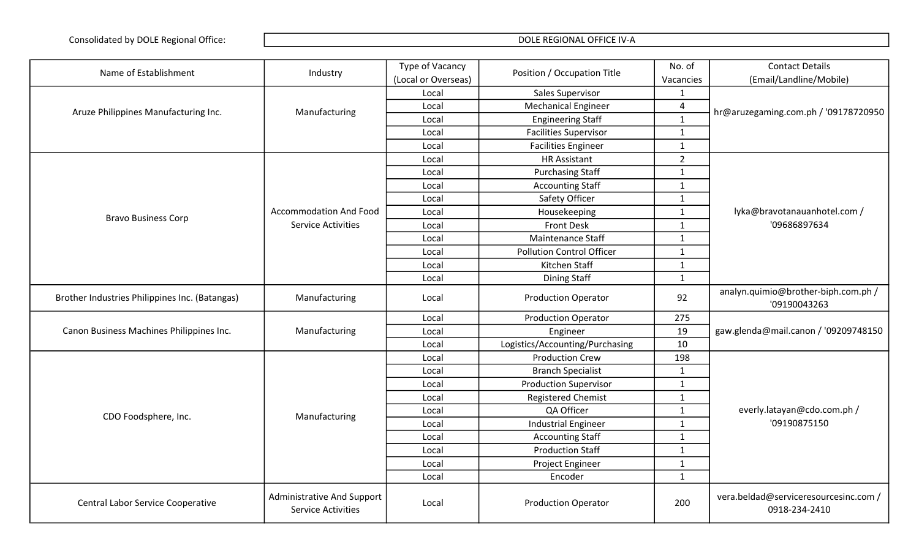| Name of Establishment                          | Industry                                                       | Type of Vacancy     | Position / Occupation Title      | No. of                  | <b>Contact Details</b>                                 |
|------------------------------------------------|----------------------------------------------------------------|---------------------|----------------------------------|-------------------------|--------------------------------------------------------|
|                                                |                                                                | (Local or Overseas) |                                  | Vacancies               | (Email/Landline/Mobile)                                |
|                                                |                                                                | Local               | Sales Supervisor                 |                         |                                                        |
| Aruze Philippines Manufacturing Inc.           | Manufacturing                                                  | Local               | <b>Mechanical Engineer</b>       | $\overline{\mathbf{4}}$ | hr@aruzegaming.com.ph / '09178720950                   |
|                                                |                                                                | Local               | <b>Engineering Staff</b>         | $\mathbf{1}$            |                                                        |
|                                                |                                                                | Local               | <b>Facilities Supervisor</b>     | $\mathbf{1}$            |                                                        |
|                                                |                                                                | Local               | <b>Facilities Engineer</b>       | $\mathbf{1}$            |                                                        |
|                                                |                                                                | Local               | <b>HR Assistant</b>              | $\overline{2}$          |                                                        |
|                                                |                                                                | Local               | <b>Purchasing Staff</b>          | $\mathbf{1}$            |                                                        |
|                                                |                                                                | Local               | <b>Accounting Staff</b>          | $\mathbf{1}$            |                                                        |
|                                                |                                                                | Local               | Safety Officer                   | $\mathbf{1}$            |                                                        |
| <b>Bravo Business Corp</b>                     | <b>Accommodation And Food</b>                                  | Local               | Housekeeping                     | $\mathbf{1}$            | lyka@bravotanauanhotel.com /                           |
|                                                | <b>Service Activities</b>                                      | Local               | <b>Front Desk</b>                | 1                       | '09686897634                                           |
|                                                |                                                                | Local               | Maintenance Staff                | $\mathbf{1}$            |                                                        |
|                                                |                                                                | Local               | <b>Pollution Control Officer</b> | $\mathbf{1}$            |                                                        |
|                                                |                                                                | Local               | Kitchen Staff                    | $\mathbf{1}$            |                                                        |
|                                                |                                                                | Local               | <b>Dining Staff</b>              | $\mathbf{1}$            |                                                        |
| Brother Industries Philippines Inc. (Batangas) | Manufacturing                                                  | Local               | <b>Production Operator</b>       | 92                      | analyn.quimio@brother-biph.com.ph /<br>'09190043263    |
|                                                |                                                                | Local               | <b>Production Operator</b>       | 275                     |                                                        |
| Canon Business Machines Philippines Inc.       | Manufacturing                                                  | Local               | Engineer                         | 19                      | gaw.glenda@mail.canon / '09209748150                   |
|                                                |                                                                | Local               | Logistics/Accounting/Purchasing  | 10                      |                                                        |
|                                                |                                                                | Local               | <b>Production Crew</b>           | 198                     |                                                        |
|                                                |                                                                | Local               | <b>Branch Specialist</b>         | $\mathbf{1}$            |                                                        |
|                                                |                                                                | Local               | <b>Production Supervisor</b>     | $\mathbf{1}$            |                                                        |
|                                                |                                                                | Local               | <b>Registered Chemist</b>        | $\mathbf{1}$            |                                                        |
|                                                |                                                                | Local               | QA Officer                       | $\mathbf{1}$            | everly.latayan@cdo.com.ph /                            |
| CDO Foodsphere, Inc.                           | Manufacturing                                                  | Local               | <b>Industrial Engineer</b>       | $\mathbf{1}$            | '09190875150                                           |
|                                                |                                                                | Local               | <b>Accounting Staff</b>          | $\mathbf{1}$            |                                                        |
|                                                |                                                                | Local               | <b>Production Staff</b>          | $\mathbf{1}$            |                                                        |
|                                                |                                                                | Local               | Project Engineer                 | $\mathbf{1}$            |                                                        |
|                                                |                                                                | Local               | Encoder                          | $\mathbf{1}$            |                                                        |
| <b>Central Labor Service Cooperative</b>       | <b>Administrative And Support</b><br><b>Service Activities</b> | Local               | <b>Production Operator</b>       | 200                     | vera.beldad@serviceresourcesinc.com /<br>0918-234-2410 |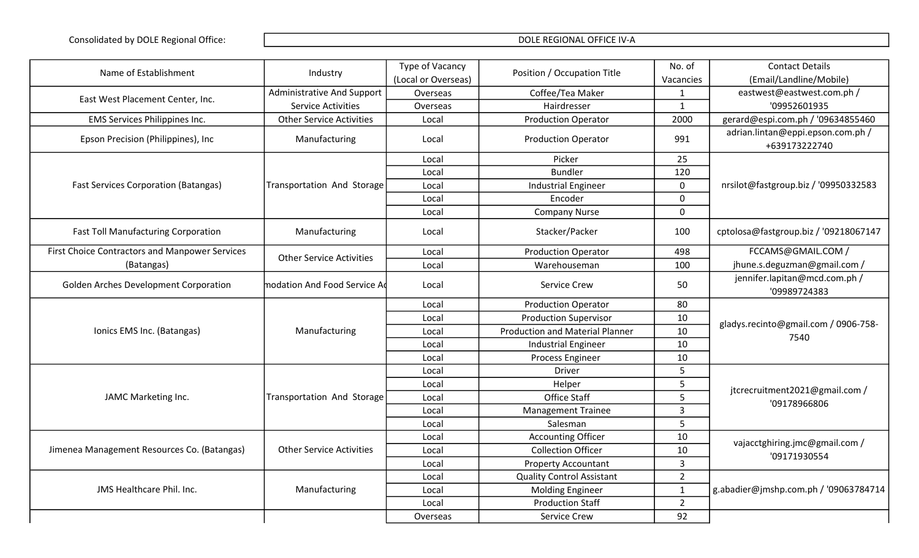| Name of Establishment                          | Industry                        | Type of Vacancy     | Position / Occupation Title            | No. of         | <b>Contact Details</b>                             |
|------------------------------------------------|---------------------------------|---------------------|----------------------------------------|----------------|----------------------------------------------------|
|                                                |                                 | (Local or Overseas) |                                        | Vacancies      | (Email/Landline/Mobile)                            |
| East West Placement Center, Inc.               | Administrative And Support      | Overseas            | Coffee/Tea Maker                       | -1             | eastwest@eastwest.com.ph /                         |
|                                                | <b>Service Activities</b>       | Overseas            | Hairdresser                            | $\mathbf{1}$   | '09952601935                                       |
| <b>EMS Services Philippines Inc.</b>           | <b>Other Service Activities</b> | Local               | <b>Production Operator</b>             | 2000           | gerard@espi.com.ph / '09634855460                  |
| Epson Precision (Philippines), Inc             | Manufacturing                   | Local               | <b>Production Operator</b>             | 991            | adrian.lintan@eppi.epson.com.ph /<br>+639173222740 |
|                                                |                                 | Local               | Picker                                 | 25             |                                                    |
|                                                |                                 | Local               | <b>Bundler</b>                         | 120            |                                                    |
| <b>Fast Services Corporation (Batangas)</b>    | Transportation And Storage      | Local               | <b>Industrial Engineer</b>             | $\mathbf 0$    | nrsilot@fastgroup.biz / '09950332583               |
|                                                |                                 | Local               | Encoder                                | $\mathbf 0$    |                                                    |
|                                                |                                 | Local               | <b>Company Nurse</b>                   | $\mathbf 0$    |                                                    |
| <b>Fast Toll Manufacturing Corporation</b>     | Manufacturing                   | Local               | Stacker/Packer                         | 100            | cptolosa@fastgroup.biz / '09218067147              |
| First Choice Contractors and Manpower Services | <b>Other Service Activities</b> | Local               | <b>Production Operator</b>             | 498            | FCCAMS@GMAIL.COM /                                 |
| (Batangas)                                     |                                 | Local               | Warehouseman                           | 100            | jhune.s.deguzman@gmail.com /                       |
| Golden Arches Development Corporation          | modation And Food Service Ad    | Local               | <b>Service Crew</b>                    | 50             | jennifer.lapitan@mcd.com.ph /<br>'09989724383      |
|                                                |                                 | Local               | <b>Production Operator</b>             | 80             | gladys.recinto@gmail.com / 0906-758-               |
|                                                |                                 | Local               | <b>Production Supervisor</b>           | 10             |                                                    |
| Ionics EMS Inc. (Batangas)                     | Manufacturing                   | Local               | <b>Production and Material Planner</b> | 10             | 7540                                               |
|                                                |                                 | Local               | <b>Industrial Engineer</b>             | 10             |                                                    |
|                                                |                                 | Local               | Process Engineer                       | 10             |                                                    |
|                                                |                                 | Local               | Driver                                 | 5              |                                                    |
|                                                |                                 | Local               | Helper                                 | 5              | jtcrecruitment2021@gmail.com /                     |
| JAMC Marketing Inc.                            | Transportation And Storage      | Local               | Office Staff                           | 5              | '09178966806                                       |
|                                                |                                 | Local               | <b>Management Trainee</b>              | $\overline{3}$ |                                                    |
|                                                |                                 | Local               | Salesman                               | 5              |                                                    |
|                                                |                                 | Local               | <b>Accounting Officer</b>              | 10             | vajacctghiring.jmc@gmail.com /                     |
| Jimenea Management Resources Co. (Batangas)    | <b>Other Service Activities</b> | Local               | <b>Collection Officer</b>              | 10             | '09171930554                                       |
|                                                |                                 | Local               | <b>Property Accountant</b>             | 3              |                                                    |
|                                                |                                 | Local               | <b>Quality Control Assistant</b>       | $\overline{2}$ |                                                    |
| JMS Healthcare Phil. Inc.                      | Manufacturing                   | Local               | <b>Molding Engineer</b>                | 1              | g.abadier@jmshp.com.ph / '09063784714              |
|                                                |                                 | Local               | <b>Production Staff</b>                | $\overline{2}$ |                                                    |
|                                                |                                 | Overseas            | Service Crew                           | 92             |                                                    |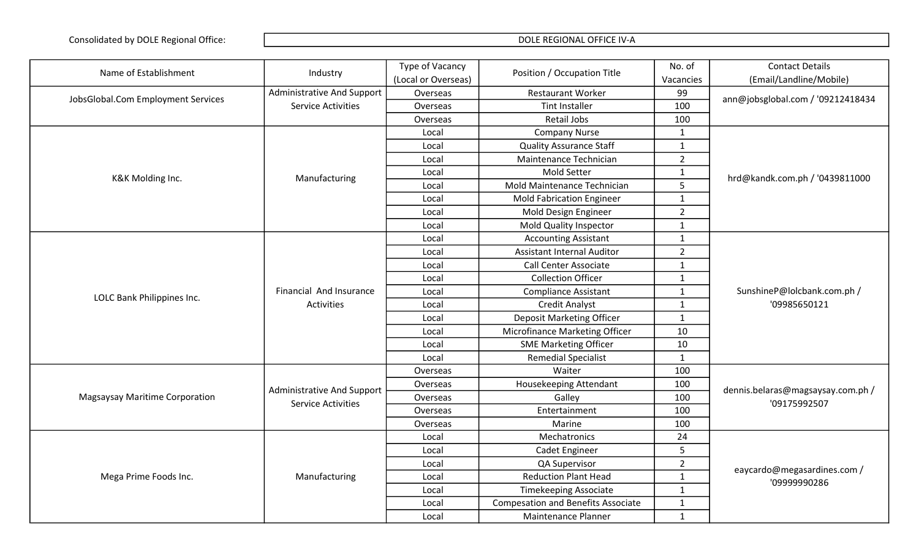| Name of Establishment                 | Industry                                                       | Type of Vacancy     | Position / Occupation Title               | No. of         | <b>Contact Details</b>                            |
|---------------------------------------|----------------------------------------------------------------|---------------------|-------------------------------------------|----------------|---------------------------------------------------|
|                                       |                                                                | (Local or Overseas) |                                           | Vacancies      | (Email/Landline/Mobile)                           |
| JobsGlobal.Com Employment Services    | <b>Administrative And Support</b>                              | Overseas            | <b>Restaurant Worker</b>                  | 99             | ann@jobsglobal.com / '09212418434                 |
|                                       | <b>Service Activities</b>                                      | Overseas            | <b>Tint Installer</b>                     | 100            |                                                   |
|                                       |                                                                | Overseas            | Retail Jobs                               | 100            |                                                   |
|                                       |                                                                | Local               | <b>Company Nurse</b>                      | $\mathbf{1}$   |                                                   |
|                                       |                                                                | Local               | <b>Quality Assurance Staff</b>            | $\mathbf{1}$   |                                                   |
|                                       |                                                                | Local               | Maintenance Technician                    | $\overline{2}$ |                                                   |
|                                       |                                                                | Local               | Mold Setter                               | $\mathbf{1}$   |                                                   |
| K&K Molding Inc.                      | Manufacturing                                                  | Local               | Mold Maintenance Technician               | 5              | hrd@kandk.com.ph / '0439811000                    |
|                                       |                                                                | Local               | <b>Mold Fabrication Engineer</b>          | $\mathbf{1}$   |                                                   |
|                                       |                                                                | Local               | Mold Design Engineer                      | $\overline{2}$ |                                                   |
|                                       |                                                                | Local               | Mold Quality Inspector                    | $\mathbf{1}$   |                                                   |
|                                       |                                                                | Local               | <b>Accounting Assistant</b>               | $\mathbf{1}$   |                                                   |
|                                       |                                                                | Local               | <b>Assistant Internal Auditor</b>         | $\overline{2}$ |                                                   |
|                                       | Financial And Insurance<br><b>Activities</b>                   | Local               | <b>Call Center Associate</b>              | $\mathbf{1}$   | SunshineP@lolcbank.com.ph /<br>'09985650121       |
|                                       |                                                                | Local               | <b>Collection Officer</b>                 | $\mathbf{1}$   |                                                   |
|                                       |                                                                | Local               | <b>Compliance Assistant</b>               | $\mathbf{1}$   |                                                   |
| LOLC Bank Philippines Inc.            |                                                                | Local               | <b>Credit Analyst</b>                     | $\mathbf{1}$   |                                                   |
|                                       |                                                                | Local               | Deposit Marketing Officer                 | $\mathbf{1}$   |                                                   |
|                                       |                                                                | Local               | Microfinance Marketing Officer            | 10             |                                                   |
|                                       |                                                                | Local               | <b>SME Marketing Officer</b>              | 10             |                                                   |
|                                       |                                                                | Local               | <b>Remedial Specialist</b>                | $\mathbf{1}$   |                                                   |
|                                       |                                                                | Overseas            | Waiter                                    | 100            |                                                   |
|                                       |                                                                | Overseas            | Housekeeping Attendant                    | 100            |                                                   |
| <b>Magsaysay Maritime Corporation</b> | <b>Administrative And Support</b><br><b>Service Activities</b> | Overseas            | Galley                                    | 100            | dennis.belaras@magsaysay.com.ph /<br>'09175992507 |
|                                       |                                                                | Overseas            | Entertainment                             | 100            |                                                   |
|                                       |                                                                | Overseas            | Marine                                    | 100            |                                                   |
|                                       |                                                                | Local               | Mechatronics                              | 24             |                                                   |
|                                       |                                                                | Local               | Cadet Engineer                            | 5              |                                                   |
|                                       |                                                                | Local               | QA Supervisor                             | $\overline{2}$ |                                                   |
| Mega Prime Foods Inc.                 | Manufacturing                                                  | Local               | <b>Reduction Plant Head</b>               | $\mathbf{1}$   | eaycardo@megasardines.com /<br>'09999990286       |
|                                       |                                                                | Local               | <b>Timekeeping Associate</b>              | $\mathbf{1}$   |                                                   |
|                                       |                                                                | Local               | <b>Compesation and Benefits Associate</b> | $\mathbf{1}$   |                                                   |
|                                       |                                                                | Local               | Maintenance Planner                       | $\mathbf{1}$   |                                                   |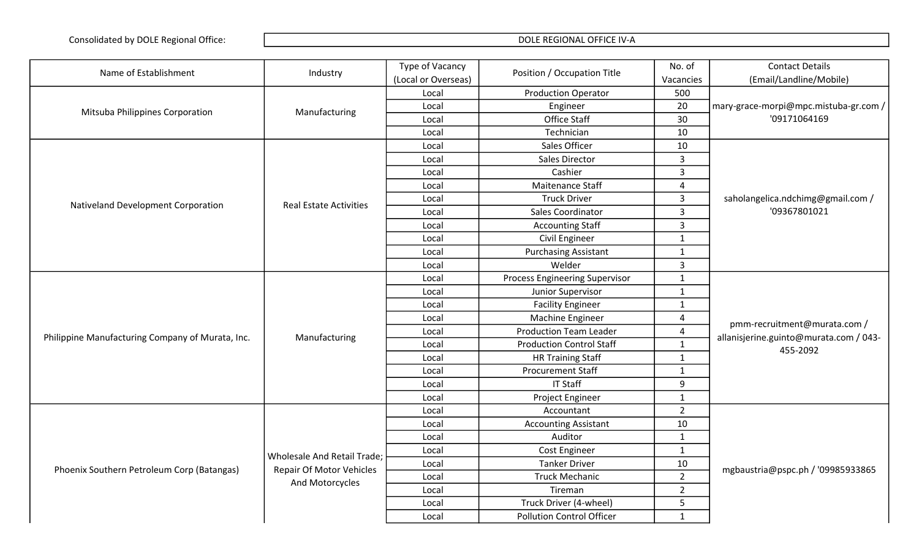| Name of Establishment                            | Industry                        | Type of Vacancy     | Position / Occupation Title           | No. of         | <b>Contact Details</b>                                                             |
|--------------------------------------------------|---------------------------------|---------------------|---------------------------------------|----------------|------------------------------------------------------------------------------------|
|                                                  |                                 | (Local or Overseas) |                                       | Vacancies      | (Email/Landline/Mobile)                                                            |
|                                                  |                                 | Local               | <b>Production Operator</b>            | 500            |                                                                                    |
|                                                  |                                 | Local               | Engineer                              | 20             | mary-grace-morpi@mpc.mistuba-gr.com /                                              |
| Mitsuba Philippines Corporation                  | Manufacturing                   | Local               | Office Staff                          | 30             | '09171064169                                                                       |
|                                                  |                                 | Local               | Technician                            | 10             |                                                                                    |
|                                                  |                                 | Local               | Sales Officer                         | 10             |                                                                                    |
|                                                  |                                 | Local               | <b>Sales Director</b>                 | $\overline{3}$ |                                                                                    |
|                                                  |                                 | Local               | Cashier                               | $\overline{3}$ |                                                                                    |
|                                                  |                                 | Local               | Maitenance Staff                      | 4              |                                                                                    |
|                                                  | <b>Real Estate Activities</b>   | Local               | <b>Truck Driver</b>                   | $\overline{3}$ | saholangelica.ndchimg@gmail.com /                                                  |
| Nativeland Development Corporation               |                                 | Local               | Sales Coordinator                     | $\overline{3}$ | '09367801021                                                                       |
|                                                  |                                 | Local               | <b>Accounting Staff</b>               | $\overline{3}$ |                                                                                    |
|                                                  |                                 | Local               | Civil Engineer                        | $\mathbf{1}$   |                                                                                    |
|                                                  |                                 | Local               | <b>Purchasing Assistant</b>           | $\mathbf{1}$   |                                                                                    |
|                                                  |                                 | Local               | Welder                                | $\overline{3}$ |                                                                                    |
|                                                  |                                 | Local               | <b>Process Engineering Supervisor</b> | $\mathbf{1}$   | pmm-recruitment@murata.com /<br>allanisjerine.guinto@murata.com / 043-<br>455-2092 |
|                                                  |                                 | Local               | Junior Supervisor                     | $\mathbf{1}$   |                                                                                    |
|                                                  |                                 | Local               | <b>Facility Engineer</b>              | $\mathbf{1}$   |                                                                                    |
|                                                  |                                 | Local               | Machine Engineer                      | $\overline{4}$ |                                                                                    |
| Philippine Manufacturing Company of Murata, Inc. | Manufacturing                   | Local               | <b>Production Team Leader</b>         | 4              |                                                                                    |
|                                                  |                                 | Local               | <b>Production Control Staff</b>       | $\mathbf{1}$   |                                                                                    |
|                                                  |                                 | Local               | <b>HR Training Staff</b>              | $\mathbf{1}$   |                                                                                    |
|                                                  |                                 | Local               | <b>Procurement Staff</b>              | $\mathbf{1}$   |                                                                                    |
|                                                  |                                 | Local               | <b>IT Staff</b>                       | 9              |                                                                                    |
|                                                  |                                 | Local               | Project Engineer                      | $\mathbf{1}$   |                                                                                    |
|                                                  |                                 | Local               | Accountant                            | $\overline{2}$ |                                                                                    |
|                                                  |                                 | Local               | <b>Accounting Assistant</b>           | 10             |                                                                                    |
|                                                  |                                 | Local               | Auditor                               | $\mathbf{1}$   |                                                                                    |
|                                                  | Wholesale And Retail Trade;     | Local               | Cost Engineer                         | $\mathbf{1}$   |                                                                                    |
|                                                  |                                 | Local               | <b>Tanker Driver</b>                  | 10             |                                                                                    |
| Phoenix Southern Petroleum Corp (Batangas)       | <b>Repair Of Motor Vehicles</b> | Local               | <b>Truck Mechanic</b>                 | $\overline{2}$ | mgbaustria@pspc.ph / '09985933865                                                  |
|                                                  | And Motorcycles                 | Local               | Tireman                               | $\overline{2}$ |                                                                                    |
|                                                  |                                 | Local               | Truck Driver (4-wheel)                | 5              |                                                                                    |
|                                                  |                                 | Local               | <b>Pollution Control Officer</b>      | $\mathbf{1}$   |                                                                                    |
|                                                  |                                 |                     |                                       |                |                                                                                    |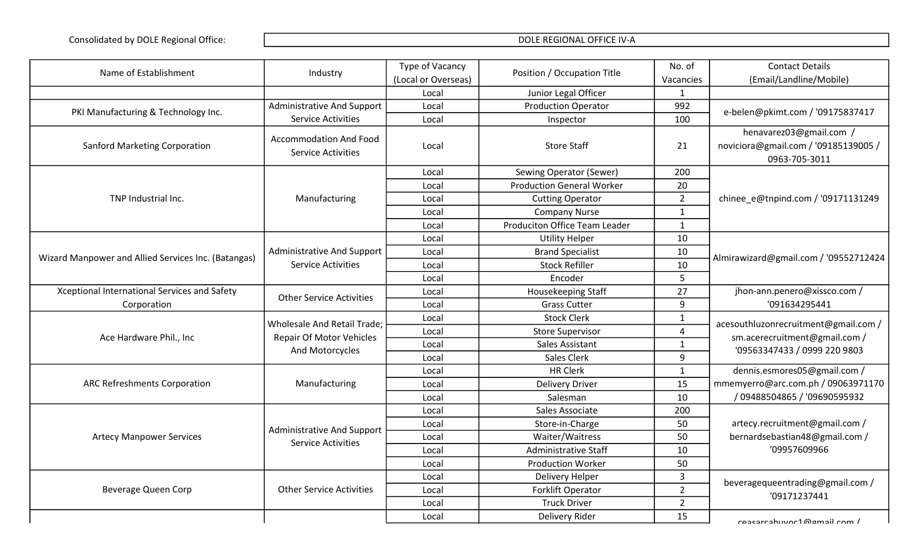| Name of Establishment                               | Industry                                                                          | Type of Vacancy     | Position / Occupation Title          | No. of         | <b>Contact Details</b>                                                                                |
|-----------------------------------------------------|-----------------------------------------------------------------------------------|---------------------|--------------------------------------|----------------|-------------------------------------------------------------------------------------------------------|
|                                                     |                                                                                   | (Local or Overseas) |                                      | Vacancies      | (Email/Landline/Mobile)                                                                               |
|                                                     |                                                                                   | Local               | Junior Legal Officer                 | $\mathbf{1}$   |                                                                                                       |
| PKI Manufacturing & Technology Inc.                 | <b>Administrative And Support</b>                                                 | Local               | <b>Production Operator</b>           | 992            | e-belen@pkimt.com / '09175837417                                                                      |
|                                                     | <b>Service Activities</b>                                                         | Local               | Inspector                            | 100            |                                                                                                       |
|                                                     | <b>Accommodation And Food</b>                                                     |                     |                                      |                | henavarez03@gmail.com /                                                                               |
| <b>Sanford Marketing Corporation</b>                | <b>Service Activities</b>                                                         | Local               | <b>Store Staff</b>                   | 21             | noviciora@gmail.com / '09185139005 /                                                                  |
|                                                     |                                                                                   |                     |                                      |                | 0963-705-3011                                                                                         |
|                                                     |                                                                                   | Local               | Sewing Operator (Sewer)              | 200            |                                                                                                       |
|                                                     |                                                                                   | Local               | <b>Production General Worker</b>     | 20             |                                                                                                       |
| TNP Industrial Inc.                                 | Manufacturing                                                                     | Local               | <b>Cutting Operator</b>              | $\overline{2}$ | chinee_e@tnpind.com / '09171131249                                                                    |
|                                                     |                                                                                   | Local               | <b>Company Nurse</b>                 | $\mathbf{1}$   |                                                                                                       |
|                                                     |                                                                                   | Local               | <b>Produciton Office Team Leader</b> | $\mathbf{1}$   |                                                                                                       |
|                                                     |                                                                                   | Local               | <b>Utility Helper</b>                | 10             |                                                                                                       |
| Wizard Manpower and Allied Services Inc. (Batangas) | <b>Administrative And Support</b><br><b>Service Activities</b>                    | Local               | <b>Brand Specialist</b>              | 10             | Almirawizard@gmail.com / '09552712424                                                                 |
|                                                     |                                                                                   | Local               | <b>Stock Refiller</b>                | 10             |                                                                                                       |
|                                                     |                                                                                   | Local               | Encoder                              | 5              |                                                                                                       |
| Xceptional International Services and Safety        | <b>Other Service Activities</b>                                                   | Local               | Housekeeping Staff                   | 27             | jhon-ann.penero@xissco.com /<br>'091634295441                                                         |
| Corporation                                         |                                                                                   | Local               | <b>Grass Cutter</b>                  | 9              |                                                                                                       |
|                                                     | Wholesale And Retail Trade;<br><b>Repair Of Motor Vehicles</b><br>And Motorcycles | Local               | <b>Stock Clerk</b>                   | $\mathbf{1}$   | acesouthluzonrecruitment@gmail.com /<br>sm.acerecruitment@gmail.com /<br>'09563347433 / 0999 220 9803 |
| Ace Hardware Phil., Inc                             |                                                                                   | Local               | <b>Store Supervisor</b>              | 4              |                                                                                                       |
|                                                     |                                                                                   | Local               | Sales Assistant                      | $\mathbf{1}$   |                                                                                                       |
|                                                     |                                                                                   | Local               | Sales Clerk                          | 9              |                                                                                                       |
|                                                     |                                                                                   | Local               | <b>HR Clerk</b>                      | $\mathbf{1}$   | dennis.esmores05@gmail.com /                                                                          |
| <b>ARC Refreshments Corporation</b>                 | Manufacturing                                                                     | Local               | <b>Delivery Driver</b>               | 15             | mmemyerro@arc.com.ph / 09063971170                                                                    |
|                                                     |                                                                                   | Local               | Salesman                             | 10             | /09488504865 / '09690595932                                                                           |
|                                                     |                                                                                   | Local               | Sales Associate                      | 200            |                                                                                                       |
|                                                     | <b>Administrative And Support</b>                                                 | Local               | Store-in-Charge                      | 50             | artecy.recruitment@gmail.com /                                                                        |
| <b>Artecy Manpower Services</b>                     | <b>Service Activities</b>                                                         | Local               | Waiter/Waitress                      | 50             | bernardsebastian48@gmail.com /                                                                        |
|                                                     |                                                                                   | Local               | <b>Administrative Staff</b>          | 10             | '09957609966                                                                                          |
|                                                     |                                                                                   | Local               | <b>Production Worker</b>             | 50             |                                                                                                       |
|                                                     |                                                                                   | Local               | Delivery Helper                      | 3              | beveragequeentrading@gmail.com /                                                                      |
| <b>Beverage Queen Corp</b>                          | <b>Other Service Activities</b>                                                   | Local               | Forklift Operator                    | $\overline{2}$ | '09171237441                                                                                          |
|                                                     |                                                                                   | Local               | <b>Truck Driver</b>                  | $\overline{2}$ |                                                                                                       |
|                                                     |                                                                                   | Local               | Delivery Rider                       | 15             | resestrahuwar1 @amail cam /                                                                           |
|                                                     |                                                                                   |                     |                                      |                |                                                                                                       |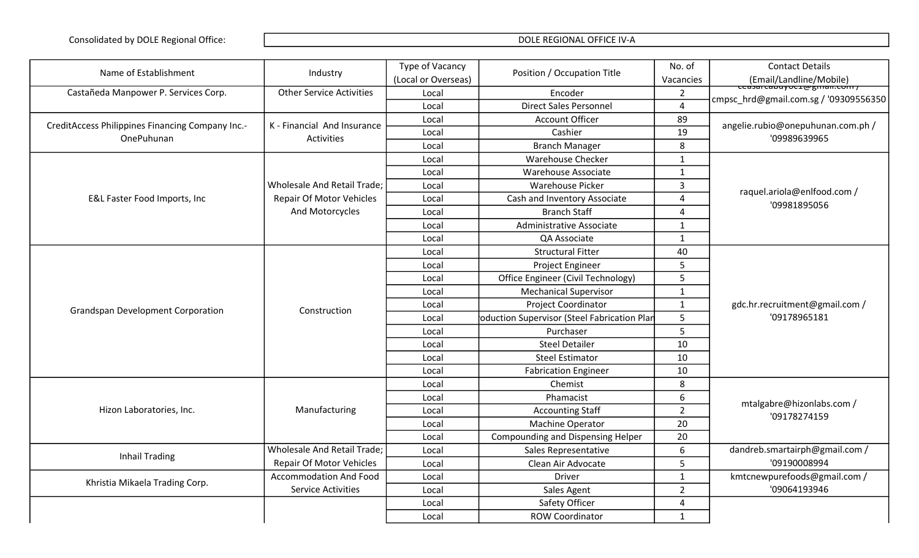| Name of Establishment                            | Industry                           | Type of Vacancy     | Position / Occupation Title                 | No. of         | <b>Contact Details</b>                            |
|--------------------------------------------------|------------------------------------|---------------------|---------------------------------------------|----------------|---------------------------------------------------|
|                                                  |                                    | (Local or Overseas) |                                             | Vacancies      | Email/Landline/Mobile)<br>Ceasarcapuyocrwgman.com |
| Castañeda Manpower P. Services Corp.             | <b>Other Service Activities</b>    | Local               | Encoder                                     | $\overline{2}$ | cmpsc hrd@gmail.com.sg / '09309556350             |
|                                                  |                                    | Local               | <b>Direct Sales Personnel</b>               | $\overline{4}$ |                                                   |
| CreditAccess Philippines Financing Company Inc.- | K - Financial And Insurance        | Local               | <b>Account Officer</b>                      | 89             | angelie.rubio@onepuhunan.com.ph /                 |
| OnePuhunan                                       | Activities                         | Local               | Cashier                                     | 19             | '09989639965                                      |
|                                                  |                                    | Local               | <b>Branch Manager</b>                       | 8              |                                                   |
|                                                  |                                    | Local               | <b>Warehouse Checker</b>                    | $\mathbf{1}$   |                                                   |
|                                                  |                                    | Local               | Warehouse Associate                         | $\mathbf{1}$   |                                                   |
|                                                  | <b>Wholesale And Retail Trade;</b> | Local               | <b>Warehouse Picker</b>                     | 3              | raquel.ariola@enlfood.com /                       |
| E&L Faster Food Imports, Inc                     | <b>Repair Of Motor Vehicles</b>    | Local               | Cash and Inventory Associate                | 4              | '09981895056                                      |
|                                                  | And Motorcycles                    | Local               | <b>Branch Staff</b>                         | $\overline{4}$ |                                                   |
|                                                  |                                    | Local               | Administrative Associate                    | $\mathbf{1}$   |                                                   |
|                                                  |                                    | Local               | QA Associate                                | $\mathbf{1}$   |                                                   |
|                                                  |                                    | Local               | <b>Structural Fitter</b>                    | 40             |                                                   |
|                                                  |                                    | Local               | Project Engineer                            | 5              |                                                   |
|                                                  |                                    | Local               | Office Engineer (Civil Technology)          | 5              |                                                   |
|                                                  |                                    | Local               | <b>Mechanical Supervisor</b>                | $\mathbf{1}$   |                                                   |
| <b>Grandspan Development Corporation</b>         | Construction                       | Local               | Project Coordinator                         | $\mathbf{1}$   | gdc.hr.recruitment@gmail.com /<br>'09178965181    |
|                                                  |                                    | Local               | oduction Supervisor (Steel Fabrication Plan | 5              |                                                   |
|                                                  |                                    | Local               | Purchaser                                   | 5              |                                                   |
|                                                  |                                    | Local               | <b>Steel Detailer</b>                       | 10             |                                                   |
|                                                  |                                    | Local               | <b>Steel Estimator</b>                      | 10             |                                                   |
|                                                  |                                    | Local               | <b>Fabrication Engineer</b>                 | 10             |                                                   |
|                                                  |                                    | Local               | Chemist                                     | 8              |                                                   |
|                                                  |                                    | Local               | Phamacist                                   | 6              | mtalgabre@hizonlabs.com /                         |
| Hizon Laboratories, Inc.                         | Manufacturing                      | Local               | <b>Accounting Staff</b>                     | $\overline{2}$ | '09178274159                                      |
|                                                  |                                    | Local               | Machine Operator                            | 20             |                                                   |
|                                                  |                                    | Local               | Compounding and Dispensing Helper           | 20             |                                                   |
| <b>Inhail Trading</b>                            | Wholesale And Retail Trade;        | Local               | Sales Representative                        | 6              | dandreb.smartairph@gmail.com /                    |
|                                                  | <b>Repair Of Motor Vehicles</b>    | Local               | Clean Air Advocate                          | 5              | '09190008994                                      |
| Khristia Mikaela Trading Corp.                   | <b>Accommodation And Food</b>      | Local               | Driver                                      | $\mathbf{1}$   | kmtcnewpurefoods@gmail.com /                      |
|                                                  | <b>Service Activities</b>          | Local               | Sales Agent                                 | $\overline{2}$ | '09064193946                                      |
|                                                  |                                    | Local               | Safety Officer                              | 4              |                                                   |
|                                                  |                                    | Local               | <b>ROW Coordinator</b>                      | $\mathbf{1}$   |                                                   |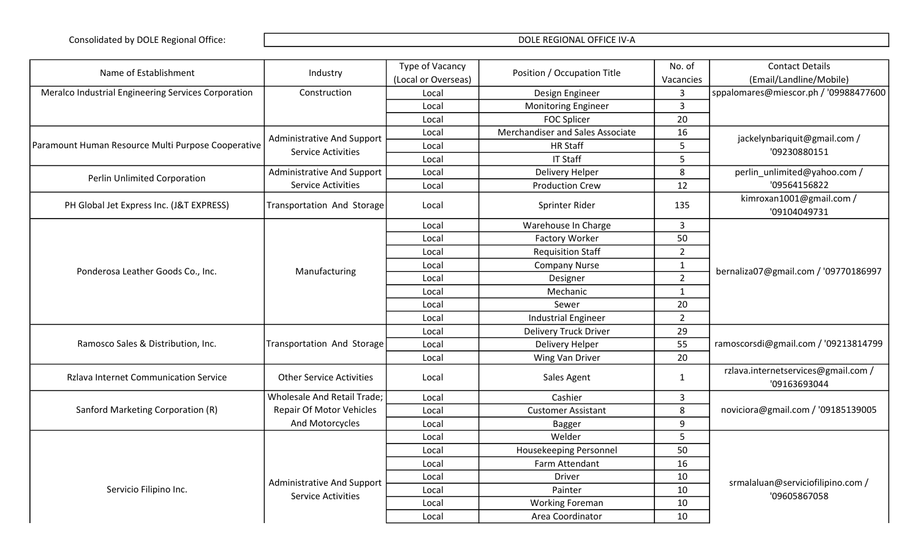| Name of Establishment                               | Industry                          | Type of Vacancy     | Position / Occupation Title      | No. of         | <b>Contact Details</b>                              |
|-----------------------------------------------------|-----------------------------------|---------------------|----------------------------------|----------------|-----------------------------------------------------|
|                                                     |                                   | (Local or Overseas) |                                  | Vacancies      | (Email/Landline/Mobile)                             |
| Meralco Industrial Engineering Services Corporation | Construction                      | Local               | Design Engineer                  | 3              | sppalomares@miescor.ph / '09988477600               |
|                                                     |                                   | Local               | <b>Monitoring Engineer</b>       | $\overline{3}$ |                                                     |
|                                                     |                                   | Local               | <b>FOC Splicer</b>               | 20             |                                                     |
|                                                     | <b>Administrative And Support</b> | Local               | Merchandiser and Sales Associate | 16             | jackelynbariquit@gmail.com /                        |
| Paramount Human Resource Multi Purpose Cooperative  | <b>Service Activities</b>         | Local               | <b>HR Staff</b>                  | 5              | '09230880151                                        |
|                                                     |                                   | Local               | <b>IT Staff</b>                  | 5              |                                                     |
| Perlin Unlimited Corporation                        | <b>Administrative And Support</b> | Local               | Delivery Helper                  | 8              | perlin_unlimited@yahoo.com /                        |
|                                                     | <b>Service Activities</b>         | Local               | <b>Production Crew</b>           | 12             | '09564156822                                        |
| PH Global Jet Express Inc. (J&T EXPRESS)            | Transportation And Storage        | Local               | Sprinter Rider                   | 135            | kimroxan1001@gmail.com /<br>'09104049731            |
|                                                     |                                   | Local               | Warehouse In Charge              | $\overline{3}$ |                                                     |
|                                                     |                                   | Local               | <b>Factory Worker</b>            | 50             |                                                     |
|                                                     |                                   | Local               | <b>Requisition Staff</b>         | $\overline{2}$ |                                                     |
| Ponderosa Leather Goods Co., Inc.                   | Manufacturing                     | Local               | <b>Company Nurse</b>             | $\mathbf{1}$   | bernaliza07@gmail.com / '09770186997                |
|                                                     |                                   | Local               | Designer                         | $\overline{2}$ |                                                     |
|                                                     |                                   | Local               | Mechanic                         | $\mathbf{1}$   |                                                     |
|                                                     |                                   | Local               | Sewer                            | 20             |                                                     |
|                                                     |                                   | Local               | <b>Industrial Engineer</b>       | $\overline{2}$ |                                                     |
|                                                     |                                   | Local               | <b>Delivery Truck Driver</b>     | 29             |                                                     |
| Ramosco Sales & Distribution, Inc.                  | Transportation And Storage        | Local               | Delivery Helper                  | 55             | ramoscorsdi@gmail.com / '09213814799                |
|                                                     |                                   | Local               | Wing Van Driver                  | 20             |                                                     |
| <b>Rzlava Internet Communication Service</b>        | <b>Other Service Activities</b>   | Local               | Sales Agent                      | $\mathbf{1}$   | rzlava.internetservices@gmail.com /<br>'09163693044 |
|                                                     | Wholesale And Retail Trade;       | Local               | Cashier                          | 3              |                                                     |
| Sanford Marketing Corporation (R)                   | Repair Of Motor Vehicles          | Local               | <b>Customer Assistant</b>        | 8              | noviciora@gmail.com / '09185139005                  |
|                                                     | And Motorcycles                   | Local               | <b>Bagger</b>                    | 9              |                                                     |
|                                                     |                                   | Local               | Welder                           | 5              |                                                     |
|                                                     |                                   | Local               | <b>Housekeeping Personnel</b>    | 50             |                                                     |
|                                                     |                                   | Local               | Farm Attendant                   | 16             |                                                     |
|                                                     | <b>Administrative And Support</b> | Local               | <b>Driver</b>                    | 10             | srmalaluan@serviciofilipino.com /                   |
| Servicio Filipino Inc.                              | <b>Service Activities</b>         | Local               | Painter                          | 10             | '09605867058                                        |
|                                                     |                                   | Local               | <b>Working Foreman</b>           | 10             |                                                     |
|                                                     |                                   | Local               | Area Coordinator                 | 10             |                                                     |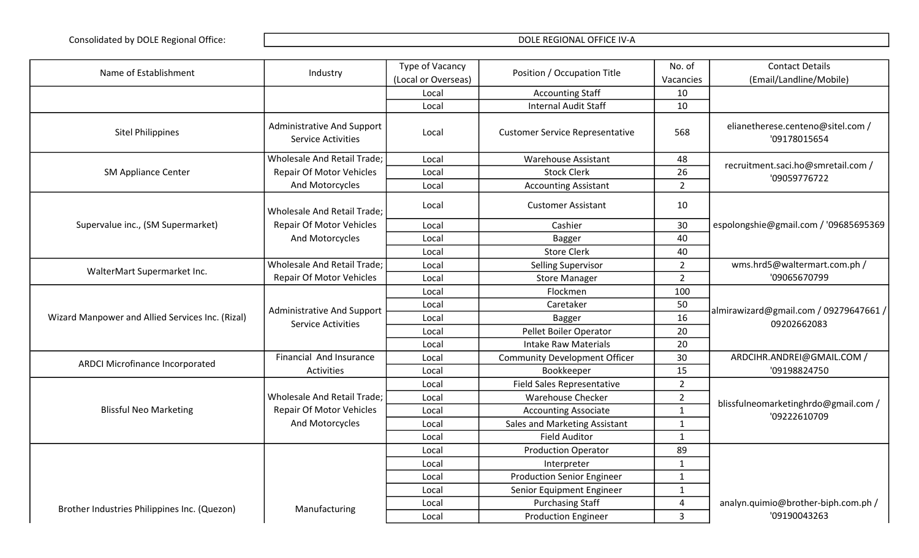| Name of Establishment                            | Industry                                                       | Type of Vacancy     | Position / Occupation Title            | No. of         | <b>Contact Details</b>                                |
|--------------------------------------------------|----------------------------------------------------------------|---------------------|----------------------------------------|----------------|-------------------------------------------------------|
|                                                  |                                                                | (Local or Overseas) |                                        | Vacancies      | (Email/Landline/Mobile)                               |
|                                                  |                                                                | Local               | <b>Accounting Staff</b>                | 10             |                                                       |
|                                                  |                                                                | Local               | <b>Internal Audit Staff</b>            | 10             |                                                       |
| <b>Sitel Philippines</b>                         | Administrative And Support<br><b>Service Activities</b>        | Local               | <b>Customer Service Representative</b> | 568            | elianetherese.centeno@sitel.com /<br>'09178015654     |
|                                                  | Wholesale And Retail Trade;                                    | Local               | <b>Warehouse Assistant</b>             | 48             | recruitment.saci.ho@smretail.com /                    |
| <b>SM Appliance Center</b>                       | <b>Repair Of Motor Vehicles</b>                                | Local               | <b>Stock Clerk</b>                     | 26             | '09059776722                                          |
|                                                  | And Motorcycles                                                | Local               | <b>Accounting Assistant</b>            | $\overline{2}$ |                                                       |
|                                                  | Wholesale And Retail Trade;                                    | Local               | <b>Customer Assistant</b>              | 10             |                                                       |
| Supervalue inc., (SM Supermarket)                | <b>Repair Of Motor Vehicles</b>                                | Local               | Cashier                                | 30             | espolongshie@gmail.com / '09685695369                 |
|                                                  | And Motorcycles                                                | Local               | <b>Bagger</b>                          | 40             |                                                       |
|                                                  |                                                                | Local               | <b>Store Clerk</b>                     | 40             |                                                       |
| WalterMart Supermarket Inc.                      | Wholesale And Retail Trade;                                    | Local               | <b>Selling Supervisor</b>              | $\overline{2}$ | wms.hrd5@waltermart.com.ph /                          |
|                                                  | <b>Repair Of Motor Vehicles</b>                                | Local               | <b>Store Manager</b>                   | $\overline{2}$ | '09065670799                                          |
|                                                  |                                                                | Local               | Flockmen                               | 100            |                                                       |
| Wizard Manpower and Allied Services Inc. (Rizal) | <b>Administrative And Support</b><br><b>Service Activities</b> | Local               | Caretaker                              | 50             | almirawizard@gmail.com / 09279647661 /<br>09202662083 |
|                                                  |                                                                | Local               | <b>Bagger</b>                          | 16             |                                                       |
|                                                  |                                                                | Local               | Pellet Boiler Operator                 | 20             |                                                       |
|                                                  |                                                                | Local               | <b>Intake Raw Materials</b>            | 20             |                                                       |
| <b>ARDCI Microfinance Incorporated</b>           | Financial And Insurance                                        | Local               | <b>Community Development Officer</b>   | 30             | ARDCIHR.ANDREI@GMAIL.COM /                            |
|                                                  | Activities                                                     | Local               | Bookkeeper                             | 15             | '09198824750                                          |
|                                                  |                                                                | Local               | Field Sales Representative             | $\overline{2}$ |                                                       |
|                                                  | Wholesale And Retail Trade;                                    | Local               | <b>Warehouse Checker</b>               | $\overline{2}$ | blissfulneomarketinghrdo@gmail.com /                  |
| <b>Blissful Neo Marketing</b>                    | <b>Repair Of Motor Vehicles</b>                                | Local               | <b>Accounting Associate</b>            | $\mathbf{1}$   | '09222610709                                          |
|                                                  | And Motorcycles                                                | Local               | Sales and Marketing Assistant          | $\mathbf{1}$   |                                                       |
|                                                  |                                                                | Local               | <b>Field Auditor</b>                   | $\mathbf{1}$   |                                                       |
|                                                  |                                                                | Local               | <b>Production Operator</b>             | 89             |                                                       |
|                                                  |                                                                | Local               | Interpreter                            | $\mathbf{1}$   |                                                       |
|                                                  |                                                                | Local               | <b>Production Senior Engineer</b>      | $\mathbf{1}$   |                                                       |
|                                                  |                                                                | Local               | Senior Equipment Engineer              | $\mathbf{1}$   |                                                       |
| Brother Industries Philippines Inc. (Quezon)     | Manufacturing                                                  | Local               | <b>Purchasing Staff</b>                | 4              | analyn.quimio@brother-biph.com.ph /                   |
|                                                  |                                                                | Local               | <b>Production Engineer</b>             | 3              | '09190043263                                          |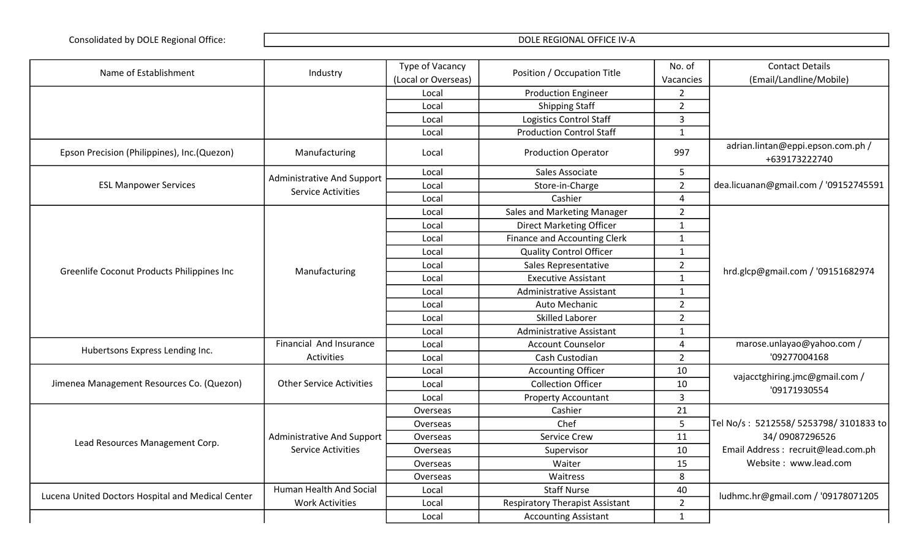| Name of Establishment                             | Industry                                                | Type of Vacancy<br>Position / Occupation Title |                                        | No. of         | <b>Contact Details</b>                             |
|---------------------------------------------------|---------------------------------------------------------|------------------------------------------------|----------------------------------------|----------------|----------------------------------------------------|
|                                                   |                                                         | (Local or Overseas)                            |                                        | Vacancies      | (Email/Landline/Mobile)                            |
|                                                   |                                                         | Local                                          | <b>Production Engineer</b>             | $\overline{2}$ |                                                    |
|                                                   |                                                         | Local                                          | <b>Shipping Staff</b>                  | $\overline{2}$ |                                                    |
|                                                   |                                                         | Local                                          | <b>Logistics Control Staff</b>         | $\overline{3}$ |                                                    |
|                                                   |                                                         | Local                                          | <b>Production Control Staff</b>        | $\mathbf{1}$   |                                                    |
| Epson Precision (Philippines), Inc. (Quezon)      | Manufacturing                                           | Local                                          | <b>Production Operator</b>             | 997            | adrian.lintan@eppi.epson.com.ph /<br>+639173222740 |
|                                                   |                                                         | Local                                          | Sales Associate                        | 5              |                                                    |
| <b>ESL Manpower Services</b>                      | Administrative And Support<br><b>Service Activities</b> | Local                                          | Store-in-Charge                        | $\overline{2}$ | dea.licuanan@gmail.com / '09152745591              |
|                                                   |                                                         | Local                                          | Cashier                                | $\overline{4}$ |                                                    |
|                                                   |                                                         | Local                                          | Sales and Marketing Manager            | $\overline{2}$ |                                                    |
|                                                   |                                                         | Local                                          | <b>Direct Marketing Officer</b>        | $\mathbf{1}$   |                                                    |
|                                                   |                                                         | Local                                          | Finance and Accounting Clerk           | $\mathbf{1}$   |                                                    |
|                                                   |                                                         | Local                                          | <b>Quality Control Officer</b>         | $\mathbf{1}$   |                                                    |
|                                                   | Manufacturing                                           | Local                                          | Sales Representative                   | $\overline{2}$ | hrd.glcp@gmail.com / '09151682974                  |
| Greenlife Coconut Products Philippines Inc        |                                                         | Local                                          | <b>Executive Assistant</b>             | $\mathbf{1}$   |                                                    |
|                                                   |                                                         | Local                                          | Administrative Assistant               | $\mathbf{1}$   |                                                    |
|                                                   |                                                         | Local                                          | Auto Mechanic                          | $\overline{2}$ |                                                    |
|                                                   |                                                         | Local                                          | <b>Skilled Laborer</b>                 | $\overline{2}$ |                                                    |
|                                                   |                                                         | Local                                          | Administrative Assistant               | $\mathbf{1}$   |                                                    |
|                                                   | Financial And Insurance                                 | Local                                          | <b>Account Counselor</b>               | $\overline{4}$ | marose.unlayao@yahoo.com /                         |
| Hubertsons Express Lending Inc.                   | Activities                                              | Local                                          | Cash Custodian                         | $\overline{2}$ | '09277004168                                       |
|                                                   |                                                         | Local                                          | <b>Accounting Officer</b>              | 10             |                                                    |
| Jimenea Management Resources Co. (Quezon)         | <b>Other Service Activities</b>                         | Local                                          | <b>Collection Officer</b>              | 10             | vajacctghiring.jmc@gmail.com /<br>'09171930554     |
|                                                   |                                                         | Local                                          | Property Accountant                    | $\overline{3}$ |                                                    |
|                                                   |                                                         | Overseas                                       | Cashier                                | 21             |                                                    |
|                                                   |                                                         | Overseas                                       | Chef                                   | 5              | Tel No/s: 5212558/5253798/3101833 to               |
| Lead Resources Management Corp.                   | <b>Administrative And Support</b>                       | Overseas                                       | Service Crew                           | 11             | 34/09087296526                                     |
|                                                   | <b>Service Activities</b>                               | Overseas                                       | Supervisor                             | 10             | Email Address : recruit@lead.com.ph                |
|                                                   |                                                         | Overseas                                       | Waiter                                 | 15             | Website: www.lead.com                              |
|                                                   |                                                         | Overseas                                       | Waitress                               | 8              |                                                    |
|                                                   | Human Health And Social                                 | Local                                          | <b>Staff Nurse</b>                     | 40             |                                                    |
| Lucena United Doctors Hospital and Medical Center | <b>Work Activities</b>                                  | Local                                          | <b>Respiratory Therapist Assistant</b> | $\overline{2}$ | ludhmc.hr@gmail.com / '09178071205                 |
|                                                   |                                                         | Local                                          | <b>Accounting Assistant</b>            | $\mathbf{1}$   |                                                    |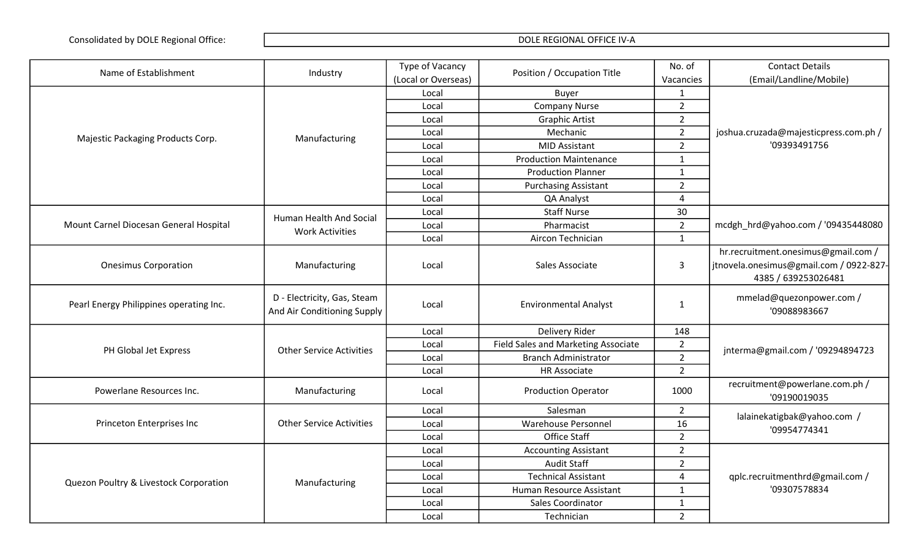| Name of Establishment                   | Industry                                                   | Type of Vacancy     | Position / Occupation Title         | No. of                 | <b>Contact Details</b>                         |
|-----------------------------------------|------------------------------------------------------------|---------------------|-------------------------------------|------------------------|------------------------------------------------|
|                                         |                                                            | (Local or Overseas) |                                     | Vacancies              | (Email/Landline/Mobile)                        |
|                                         |                                                            | Local               | <b>Buyer</b>                        | $\mathbf{1}$           |                                                |
|                                         |                                                            | Local               | <b>Company Nurse</b>                | $\overline{2}$         |                                                |
|                                         |                                                            | Local               | <b>Graphic Artist</b>               | $\overline{2}$         |                                                |
|                                         |                                                            | Local               | Mechanic                            | $\overline{2}$         | joshua.cruzada@majesticpress.com.ph /          |
| Majestic Packaging Products Corp.       | Manufacturing                                              | Local               | <b>MID Assistant</b>                | $\overline{2}$         | '09393491756                                   |
|                                         |                                                            | Local               | <b>Production Maintenance</b>       | $\mathbf{1}$           |                                                |
|                                         |                                                            | Local               | <b>Production Planner</b>           | $\mathbf 1$            |                                                |
|                                         |                                                            | Local               | <b>Purchasing Assistant</b>         | $\overline{2}$         |                                                |
|                                         |                                                            | Local               | QA Analyst                          | 4                      |                                                |
|                                         | Human Health And Social                                    | Local               | <b>Staff Nurse</b>                  | 30                     |                                                |
| Mount Carnel Diocesan General Hospital  | <b>Work Activities</b>                                     | Local               | Pharmacist                          | $\overline{2}$         | mcdgh_hrd@yahoo.com / '09435448080             |
|                                         |                                                            | Local               | Aircon Technician                   | $\mathbf{1}$           |                                                |
|                                         |                                                            |                     |                                     |                        | hr.recruitment.onesimus@gmail.com /            |
| <b>Onesimus Corporation</b>             | Manufacturing                                              | Local               | Sales Associate                     | $\mathbf{3}$           | jtnovela.onesimus@gmail.com / 0922-827-        |
|                                         |                                                            |                     |                                     |                        | 4385 / 639253026481                            |
| Pearl Energy Philippines operating Inc. | D - Electricity, Gas, Steam<br>And Air Conditioning Supply | Local               | <b>Environmental Analyst</b>        | $1\,$                  | mmelad@quezonpower.com /<br>'09088983667       |
|                                         |                                                            | Local               | Delivery Rider                      | 148                    |                                                |
|                                         | <b>Other Service Activities</b>                            | Local               | Field Sales and Marketing Associate | $\overline{2}$         |                                                |
| PH Global Jet Express                   |                                                            | Local               | <b>Branch Administrator</b>         | $\overline{2}$         | jnterma@gmail.com / '09294894723               |
|                                         |                                                            | Local               | <b>HR Associate</b>                 | $\overline{2}$         |                                                |
| Powerlane Resources Inc.                | Manufacturing                                              | Local               | <b>Production Operator</b>          | 1000                   | recruitment@powerlane.com.ph /<br>'09190019035 |
|                                         |                                                            | Local               | Salesman                            | $\overline{2}$         | lalainekatigbak@yahoo.com /                    |
| Princeton Enterprises Inc               | <b>Other Service Activities</b>                            | Local               | <b>Warehouse Personnel</b>          | 16                     | '09954774341                                   |
|                                         |                                                            | Local               | Office Staff                        | $\overline{2}$         |                                                |
|                                         |                                                            | Local               | <b>Accounting Assistant</b>         | $\overline{2}$         |                                                |
|                                         |                                                            | Local               | <b>Audit Staff</b>                  | $\overline{2}$         |                                                |
| Quezon Poultry & Livestock Corporation  | Manufacturing                                              | Local               | <b>Technical Assistant</b>          | $\boldsymbol{\Lambda}$ | qplc.recruitmenthrd@gmail.com /                |
|                                         |                                                            | Local               | Human Resource Assistant            | $\mathbf{1}$           | '09307578834                                   |
|                                         |                                                            | Local               | Sales Coordinator                   | $\mathbf{1}$           |                                                |
|                                         |                                                            | Local               | Technician                          | $\overline{2}$         |                                                |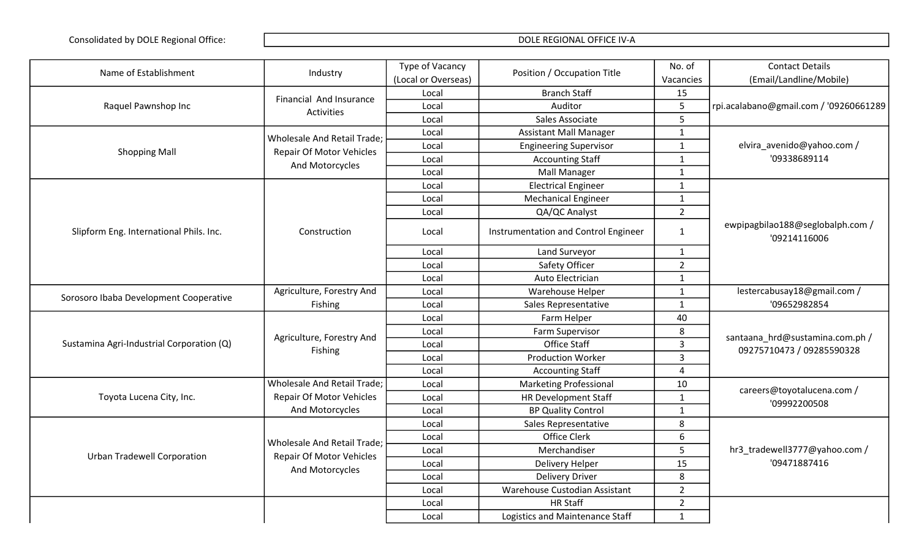| Name of Establishment                     | Industry                           | Type of Vacancy     | Position / Occupation Title          | No. of         | <b>Contact Details</b>                                       |
|-------------------------------------------|------------------------------------|---------------------|--------------------------------------|----------------|--------------------------------------------------------------|
|                                           |                                    | (Local or Overseas) |                                      | Vacancies      | (Email/Landline/Mobile)                                      |
|                                           | Financial And Insurance            | Local               | <b>Branch Staff</b>                  | 15             |                                                              |
| Raquel Pawnshop Inc                       | Activities                         | Local               | Auditor                              | 5              | rpi.acalabano@gmail.com / '09260661289                       |
|                                           |                                    | Local               | Sales Associate                      | 5              |                                                              |
|                                           | <b>Wholesale And Retail Trade;</b> | Local               | <b>Assistant Mall Manager</b>        | $\mathbf{1}$   |                                                              |
|                                           | <b>Repair Of Motor Vehicles</b>    | Local               | <b>Engineering Supervisor</b>        | $\mathbf{1}$   | elvira_avenido@yahoo.com /                                   |
| <b>Shopping Mall</b>                      |                                    | Local               | <b>Accounting Staff</b>              | $\mathbf{1}$   | '09338689114                                                 |
|                                           | And Motorcycles                    | Local               | <b>Mall Manager</b>                  | $\mathbf{1}$   |                                                              |
|                                           |                                    | Local               | <b>Electrical Engineer</b>           | $\mathbf{1}$   |                                                              |
|                                           |                                    | Local               | <b>Mechanical Engineer</b>           | $\mathbf{1}$   |                                                              |
|                                           |                                    | Local               | QA/QC Analyst                        | $\overline{2}$ |                                                              |
| Slipform Eng. International Phils. Inc.   | Construction                       | Local               | Instrumentation and Control Engineer | $\mathbf{1}$   | ewpipagbilao188@seglobalph.com /<br>'09214116006             |
|                                           |                                    | Local               | Land Surveyor                        | $\mathbf{1}$   |                                                              |
|                                           |                                    | Local               | Safety Officer                       | $\overline{2}$ |                                                              |
|                                           |                                    | Local               | Auto Electrician                     | $\mathbf{1}$   |                                                              |
| Sorosoro Ibaba Development Cooperative    | Agriculture, Forestry And          | Local               | Warehouse Helper                     | $\mathbf{1}$   | lestercabusay18@gmail.com /                                  |
|                                           | Fishing                            | Local               | Sales Representative                 | $\mathbf{1}$   | '09652982854                                                 |
|                                           |                                    | Local               | Farm Helper                          | 40             | santaana_hrd@sustamina.com.ph /<br>09275710473 / 09285590328 |
|                                           | Agriculture, Forestry And          | Local               | Farm Supervisor                      | 8              |                                                              |
| Sustamina Agri-Industrial Corporation (Q) |                                    | Local               | <b>Office Staff</b>                  | 3              |                                                              |
|                                           | Fishing                            | Local               | <b>Production Worker</b>             | 3              |                                                              |
|                                           |                                    | Local               | <b>Accounting Staff</b>              | 4              |                                                              |
|                                           | Wholesale And Retail Trade;        | Local               | <b>Marketing Professional</b>        | 10             | careers@toyotalucena.com /                                   |
| Toyota Lucena City, Inc.                  | <b>Repair Of Motor Vehicles</b>    | Local               | <b>HR Development Staff</b>          | $\mathbf{1}$   | '09992200508                                                 |
|                                           | And Motorcycles                    | Local               | <b>BP Quality Control</b>            | $\mathbf{1}$   |                                                              |
|                                           |                                    | Local               | Sales Representative                 | 8              |                                                              |
|                                           | Wholesale And Retail Trade;        | Local               | Office Clerk                         | 6              |                                                              |
|                                           |                                    | Local               | Merchandiser                         | 5              | hr3_tradewell3777@yahoo.com /                                |
| <b>Urban Tradewell Corporation</b>        | Repair Of Motor Vehicles           | Local               | Delivery Helper                      | 15             | '09471887416                                                 |
|                                           | And Motorcycles                    | Local               | <b>Delivery Driver</b>               | 8              |                                                              |
|                                           |                                    | Local               | Warehouse Custodian Assistant        | $\overline{2}$ |                                                              |
|                                           |                                    | Local               | <b>HR Staff</b>                      | $\overline{2}$ |                                                              |
|                                           |                                    | Local               | Logistics and Maintenance Staff      | $\mathbf{1}$   |                                                              |